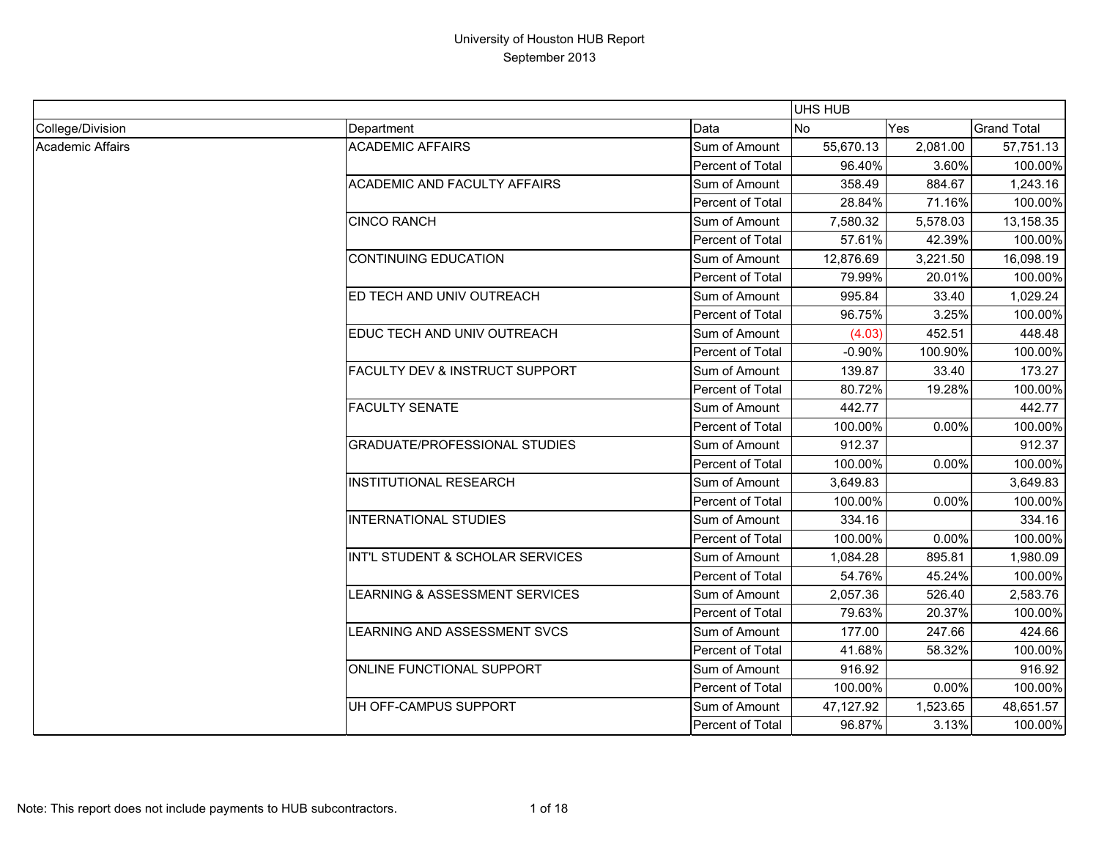|                  |                                           |                  | <b>UHS HUB</b> |            |                    |
|------------------|-------------------------------------------|------------------|----------------|------------|--------------------|
| College/Division | Department                                | Data             | <b>No</b>      | <b>Yes</b> | <b>Grand Total</b> |
| Academic Affairs | <b>ACADEMIC AFFAIRS</b>                   | Sum of Amount    | 55,670.13      | 2,081.00   | 57,751.13          |
|                  |                                           | Percent of Total | 96.40%         | 3.60%      | 100.00%            |
|                  | <b>ACADEMIC AND FACULTY AFFAIRS</b>       | Sum of Amount    | 358.49         | 884.67     | 1,243.16           |
|                  |                                           | Percent of Total | 28.84%         | 71.16%     | 100.00%            |
|                  | <b>CINCO RANCH</b>                        | Sum of Amount    | 7,580.32       | 5,578.03   | 13,158.35          |
|                  |                                           | Percent of Total | 57.61%         | 42.39%     | 100.00%            |
|                  | <b>CONTINUING EDUCATION</b>               | Sum of Amount    | 12,876.69      | 3,221.50   | 16,098.19          |
|                  |                                           | Percent of Total | 79.99%         | 20.01%     | 100.00%            |
|                  | ED TECH AND UNIV OUTREACH                 | Sum of Amount    | 995.84         | 33.40      | 1,029.24           |
|                  |                                           | Percent of Total | 96.75%         | 3.25%      | 100.00%            |
|                  | EDUC TECH AND UNIV OUTREACH               | Sum of Amount    | (4.03)         | 452.51     | 448.48             |
|                  |                                           | Percent of Total | $-0.90%$       | 100.90%    | 100.00%            |
|                  | <b>FACULTY DEV &amp; INSTRUCT SUPPORT</b> | Sum of Amount    | 139.87         | 33.40      | 173.27             |
|                  |                                           | Percent of Total | 80.72%         | 19.28%     | 100.00%            |
|                  | <b>FACULTY SENATE</b>                     | Sum of Amount    | 442.77         |            | 442.77             |
|                  |                                           | Percent of Total | 100.00%        | 0.00%      | 100.00%            |
|                  | <b>GRADUATE/PROFESSIONAL STUDIES</b>      | Sum of Amount    | 912.37         |            | 912.37             |
|                  |                                           | Percent of Total | 100.00%        | 0.00%      | 100.00%            |
|                  | <b>INSTITUTIONAL RESEARCH</b>             | Sum of Amount    | 3,649.83       |            | 3,649.83           |
|                  |                                           | Percent of Total | 100.00%        | 0.00%      | 100.00%            |
|                  | <b>INTERNATIONAL STUDIES</b>              | Sum of Amount    | 334.16         |            | 334.16             |
|                  |                                           | Percent of Total | 100.00%        | 0.00%      | 100.00%            |
|                  | INT'L STUDENT & SCHOLAR SERVICES          | Sum of Amount    | 1,084.28       | 895.81     | 1,980.09           |
|                  |                                           | Percent of Total | 54.76%         | 45.24%     | 100.00%            |
|                  | LEARNING & ASSESSMENT SERVICES            | Sum of Amount    | 2,057.36       | 526.40     | 2,583.76           |
|                  |                                           | Percent of Total | 79.63%         | 20.37%     | 100.00%            |
|                  | LEARNING AND ASSESSMENT SVCS              | Sum of Amount    | 177.00         | 247.66     | 424.66             |
|                  |                                           | Percent of Total | 41.68%         | 58.32%     | 100.00%            |
|                  | <b>ONLINE FUNCTIONAL SUPPORT</b>          | Sum of Amount    | 916.92         |            | 916.92             |
|                  |                                           | Percent of Total | 100.00%        | 0.00%      | 100.00%            |
|                  | UH OFF-CAMPUS SUPPORT                     | Sum of Amount    | 47,127.92      | 1,523.65   | 48,651.57          |
|                  |                                           | Percent of Total | 96.87%         | 3.13%      | 100.00%            |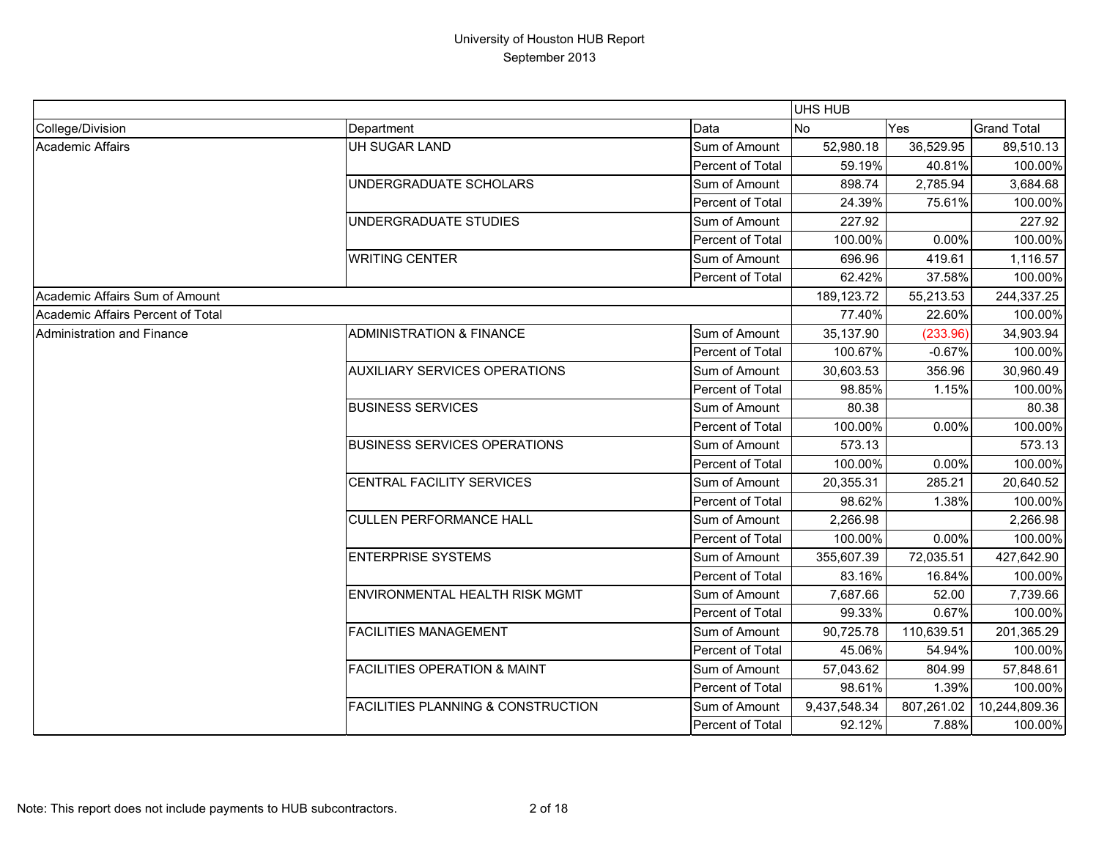|                                   |                                               |                  | UHS HUB      |            |                    |
|-----------------------------------|-----------------------------------------------|------------------|--------------|------------|--------------------|
| College/Division                  | Department                                    | Data             | No           | Yes        | <b>Grand Total</b> |
| Academic Affairs                  | UH SUGAR LAND                                 | Sum of Amount    | 52,980.18    | 36,529.95  | 89,510.13          |
|                                   |                                               | Percent of Total | 59.19%       | 40.81%     | 100.00%            |
|                                   | UNDERGRADUATE SCHOLARS                        | Sum of Amount    | 898.74       | 2,785.94   | 3,684.68           |
|                                   |                                               | Percent of Total | 24.39%       | 75.61%     | 100.00%            |
|                                   | UNDERGRADUATE STUDIES                         | Sum of Amount    | 227.92       |            | 227.92             |
|                                   |                                               | Percent of Total | 100.00%      | 0.00%      | 100.00%            |
|                                   | <b>WRITING CENTER</b>                         | Sum of Amount    | 696.96       | 419.61     | 1,116.57           |
|                                   |                                               | Percent of Total | 62.42%       | 37.58%     | 100.00%            |
| Academic Affairs Sum of Amount    |                                               |                  | 189, 123. 72 | 55,213.53  | 244,337.25         |
| Academic Affairs Percent of Total |                                               |                  | 77.40%       | 22.60%     | 100.00%            |
| Administration and Finance        | <b>ADMINISTRATION &amp; FINANCE</b>           | Sum of Amount    | 35,137.90    | (233.96)   | 34,903.94          |
|                                   |                                               | Percent of Total | 100.67%      | $-0.67%$   | 100.00%            |
|                                   | <b>AUXILIARY SERVICES OPERATIONS</b>          | Sum of Amount    | 30,603.53    | 356.96     | 30,960.49          |
|                                   |                                               | Percent of Total | 98.85%       | 1.15%      | 100.00%            |
|                                   | <b>BUSINESS SERVICES</b>                      | Sum of Amount    | 80.38        |            | 80.38              |
|                                   |                                               | Percent of Total | 100.00%      | 0.00%      | 100.00%            |
|                                   | <b>BUSINESS SERVICES OPERATIONS</b>           | Sum of Amount    | 573.13       |            | 573.13             |
|                                   |                                               | Percent of Total | 100.00%      | 0.00%      | 100.00%            |
|                                   | CENTRAL FACILITY SERVICES                     | Sum of Amount    | 20,355.31    | 285.21     | 20,640.52          |
|                                   |                                               | Percent of Total | 98.62%       | 1.38%      | 100.00%            |
|                                   | <b>CULLEN PERFORMANCE HALL</b>                | Sum of Amount    | 2,266.98     |            | 2,266.98           |
|                                   |                                               | Percent of Total | 100.00%      | 0.00%      | 100.00%            |
|                                   | <b>ENTERPRISE SYSTEMS</b>                     | Sum of Amount    | 355,607.39   | 72,035.51  | 427,642.90         |
|                                   |                                               | Percent of Total | 83.16%       | 16.84%     | 100.00%            |
|                                   | ENVIRONMENTAL HEALTH RISK MGMT                | Sum of Amount    | 7,687.66     | 52.00      | 7,739.66           |
|                                   |                                               | Percent of Total | 99.33%       | 0.67%      | 100.00%            |
|                                   | <b>FACILITIES MANAGEMENT</b>                  | Sum of Amount    | 90,725.78    | 110,639.51 | 201,365.29         |
|                                   |                                               | Percent of Total | 45.06%       | 54.94%     | 100.00%            |
|                                   | <b>FACILITIES OPERATION &amp; MAINT</b>       | Sum of Amount    | 57,043.62    | 804.99     | 57,848.61          |
|                                   |                                               | Percent of Total | 98.61%       | 1.39%      | 100.00%            |
|                                   | <b>FACILITIES PLANNING &amp; CONSTRUCTION</b> | Sum of Amount    | 9,437,548.34 | 807,261.02 | 10,244,809.36      |
|                                   |                                               | Percent of Total | 92.12%       | 7.88%      | 100.00%            |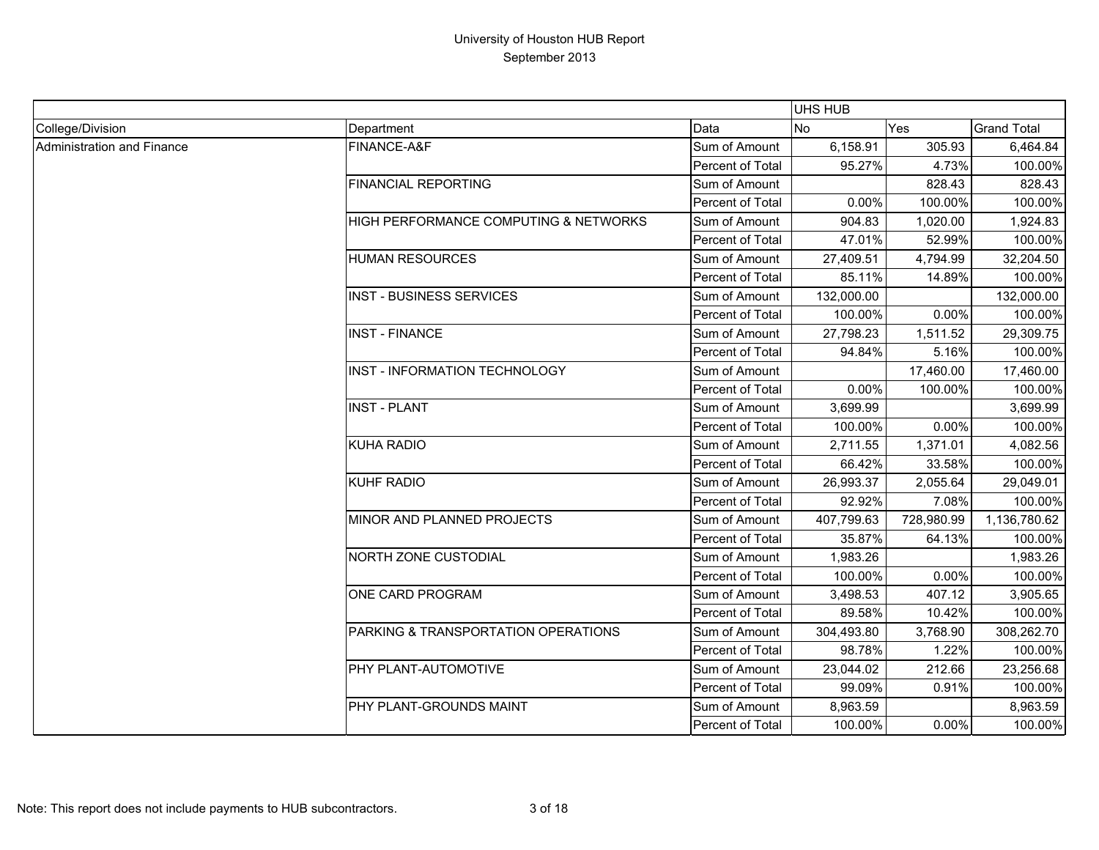|                            |                                       |                         | <b>UHS HUB</b> |            |                    |
|----------------------------|---------------------------------------|-------------------------|----------------|------------|--------------------|
| College/Division           | Department                            | Data                    | <b>No</b>      | Yes        | <b>Grand Total</b> |
| Administration and Finance | FINANCE-A&F                           | Sum of Amount           | 6,158.91       | 305.93     | 6,464.84           |
|                            |                                       | Percent of Total        | 95.27%         | 4.73%      | 100.00%            |
|                            | <b>FINANCIAL REPORTING</b>            | Sum of Amount           |                | 828.43     | 828.43             |
|                            |                                       | Percent of Total        | 0.00%          | 100.00%    | 100.00%            |
|                            | HIGH PERFORMANCE COMPUTING & NETWORKS | Sum of Amount           | 904.83         | 1,020.00   | 1,924.83           |
|                            |                                       | Percent of Total        | 47.01%         | 52.99%     | 100.00%            |
|                            | <b>HUMAN RESOURCES</b>                | Sum of Amount           | 27,409.51      | 4,794.99   | 32,204.50          |
|                            |                                       | Percent of Total        | 85.11%         | 14.89%     | 100.00%            |
|                            | <b>INST - BUSINESS SERVICES</b>       | Sum of Amount           | 132,000.00     |            | 132,000.00         |
|                            |                                       | Percent of Total        | 100.00%        | 0.00%      | 100.00%            |
|                            | <b>INST - FINANCE</b>                 | Sum of Amount           | 27,798.23      | 1,511.52   | 29,309.75          |
|                            |                                       | Percent of Total        | 94.84%         | 5.16%      | 100.00%            |
|                            | INST - INFORMATION TECHNOLOGY         | Sum of Amount           |                | 17,460.00  | 17,460.00          |
|                            |                                       | Percent of Total        | 0.00%          | 100.00%    | 100.00%            |
|                            | <b>INST - PLANT</b>                   | Sum of Amount           | 3,699.99       |            | 3,699.99           |
|                            |                                       | Percent of Total        | 100.00%        | 0.00%      | 100.00%            |
|                            | <b>KUHA RADIO</b>                     | Sum of Amount           | 2,711.55       | 1,371.01   | 4,082.56           |
|                            |                                       | Percent of Total        | 66.42%         | 33.58%     | 100.00%            |
|                            | <b>KUHF RADIO</b>                     | Sum of Amount           | 26,993.37      | 2,055.64   | 29,049.01          |
|                            |                                       | Percent of Total        | 92.92%         | 7.08%      | 100.00%            |
|                            | MINOR AND PLANNED PROJECTS            | Sum of Amount           | 407,799.63     | 728,980.99 | 1,136,780.62       |
|                            |                                       | Percent of Total        | 35.87%         | 64.13%     | 100.00%            |
|                            | <b>NORTH ZONE CUSTODIAL</b>           | Sum of Amount           | 1,983.26       |            | 1,983.26           |
|                            |                                       | Percent of Total        | 100.00%        | 0.00%      | 100.00%            |
|                            | <b>ONE CARD PROGRAM</b>               | Sum of Amount           | 3,498.53       | 407.12     | 3,905.65           |
|                            |                                       | Percent of Total        | 89.58%         | 10.42%     | 100.00%            |
|                            | PARKING & TRANSPORTATION OPERATIONS   | Sum of Amount           | 304,493.80     | 3,768.90   | 308,262.70         |
|                            |                                       | Percent of Total        | 98.78%         | 1.22%      | 100.00%            |
|                            | PHY PLANT-AUTOMOTIVE                  | Sum of Amount           | 23,044.02      | 212.66     | 23,256.68          |
|                            |                                       | Percent of Total        | 99.09%         | 0.91%      | 100.00%            |
|                            | PHY PLANT-GROUNDS MAINT               | Sum of Amount           | 8,963.59       |            | 8,963.59           |
|                            |                                       | <b>Percent of Total</b> | 100.00%        | 0.00%      | 100.00%            |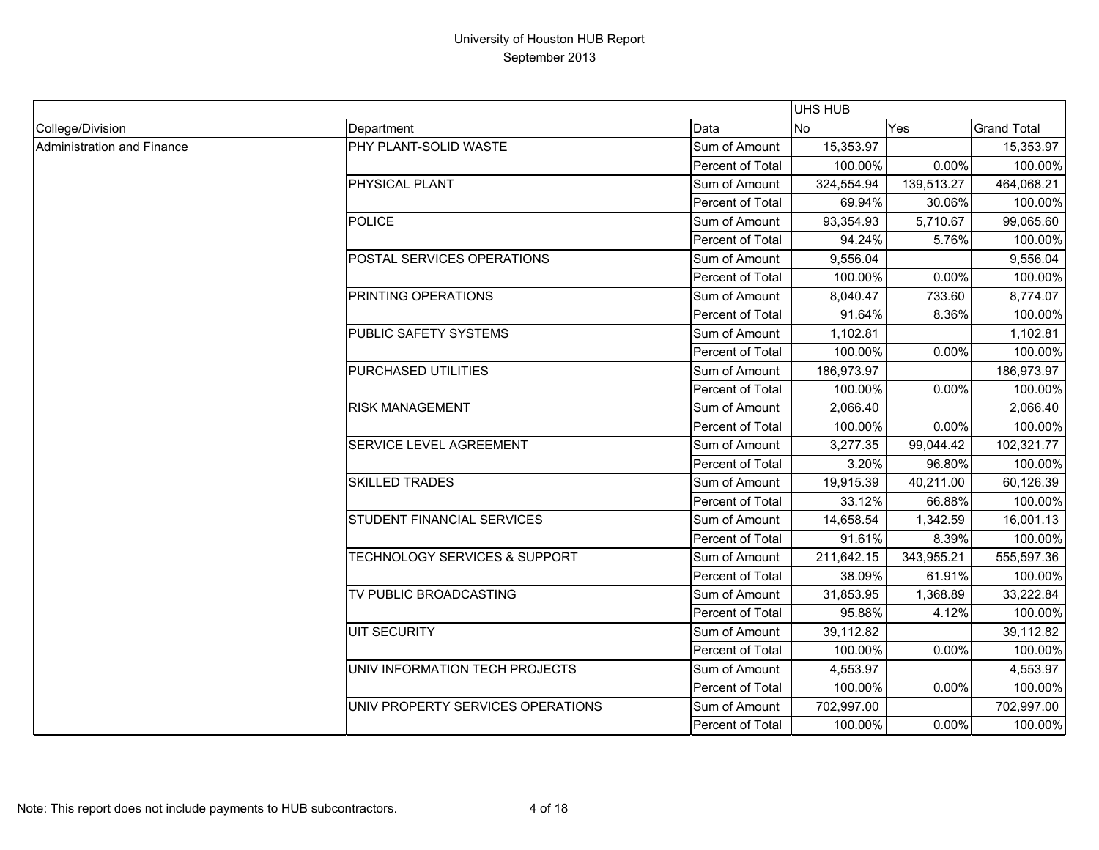|                            |                                          |                  | UHS HUB    |            |                    |
|----------------------------|------------------------------------------|------------------|------------|------------|--------------------|
| College/Division           | Department                               | Data             | <b>No</b>  | Yes        | <b>Grand Total</b> |
| Administration and Finance | PHY PLANT-SOLID WASTE                    | Sum of Amount    | 15,353.97  |            | 15,353.97          |
|                            |                                          | Percent of Total | 100.00%    | 0.00%      | 100.00%            |
|                            | <b>PHYSICAL PLANT</b>                    | Sum of Amount    | 324,554.94 | 139,513.27 | 464,068.21         |
|                            |                                          | Percent of Total | 69.94%     | 30.06%     | 100.00%            |
|                            | <b>POLICE</b>                            | Sum of Amount    | 93,354.93  | 5,710.67   | 99,065.60          |
|                            |                                          | Percent of Total | 94.24%     | 5.76%      | 100.00%            |
|                            | POSTAL SERVICES OPERATIONS               | Sum of Amount    | 9,556.04   |            | 9,556.04           |
|                            |                                          | Percent of Total | 100.00%    | 0.00%      | 100.00%            |
|                            | <b>PRINTING OPERATIONS</b>               | Sum of Amount    | 8,040.47   | 733.60     | 8,774.07           |
|                            |                                          | Percent of Total | 91.64%     | 8.36%      | 100.00%            |
|                            | PUBLIC SAFETY SYSTEMS                    | Sum of Amount    | 1,102.81   |            | 1,102.81           |
|                            |                                          | Percent of Total | 100.00%    | 0.00%      | 100.00%            |
|                            | PURCHASED UTILITIES                      | Sum of Amount    | 186,973.97 |            | 186,973.97         |
|                            |                                          | Percent of Total | 100.00%    | 0.00%      | 100.00%            |
|                            | <b>RISK MANAGEMENT</b>                   | Sum of Amount    | 2,066.40   |            | 2,066.40           |
|                            |                                          | Percent of Total | 100.00%    | 0.00%      | 100.00%            |
|                            | SERVICE LEVEL AGREEMENT                  | Sum of Amount    | 3,277.35   | 99,044.42  | 102,321.77         |
|                            |                                          | Percent of Total | 3.20%      | 96.80%     | 100.00%            |
|                            | <b>SKILLED TRADES</b>                    | Sum of Amount    | 19,915.39  | 40,211.00  | 60,126.39          |
|                            |                                          | Percent of Total | 33.12%     | 66.88%     | 100.00%            |
|                            | <b>STUDENT FINANCIAL SERVICES</b>        | Sum of Amount    | 14,658.54  | 1,342.59   | 16,001.13          |
|                            |                                          | Percent of Total | 91.61%     | 8.39%      | 100.00%            |
|                            | <b>TECHNOLOGY SERVICES &amp; SUPPORT</b> | Sum of Amount    | 211,642.15 | 343,955.21 | 555,597.36         |
|                            |                                          | Percent of Total | 38.09%     | 61.91%     | 100.00%            |
|                            | TV PUBLIC BROADCASTING                   | Sum of Amount    | 31,853.95  | 1,368.89   | 33,222.84          |
|                            |                                          | Percent of Total | 95.88%     | 4.12%      | 100.00%            |
|                            | <b>UIT SECURITY</b>                      | Sum of Amount    | 39,112.82  |            | 39,112.82          |
|                            |                                          | Percent of Total | 100.00%    | 0.00%      | 100.00%            |
|                            | UNIV INFORMATION TECH PROJECTS           | Sum of Amount    | 4,553.97   |            | 4,553.97           |
|                            |                                          | Percent of Total | 100.00%    | 0.00%      | 100.00%            |
|                            | UNIV PROPERTY SERVICES OPERATIONS        | Sum of Amount    | 702,997.00 |            | 702,997.00         |
|                            |                                          | Percent of Total | 100.00%    | 0.00%      | 100.00%            |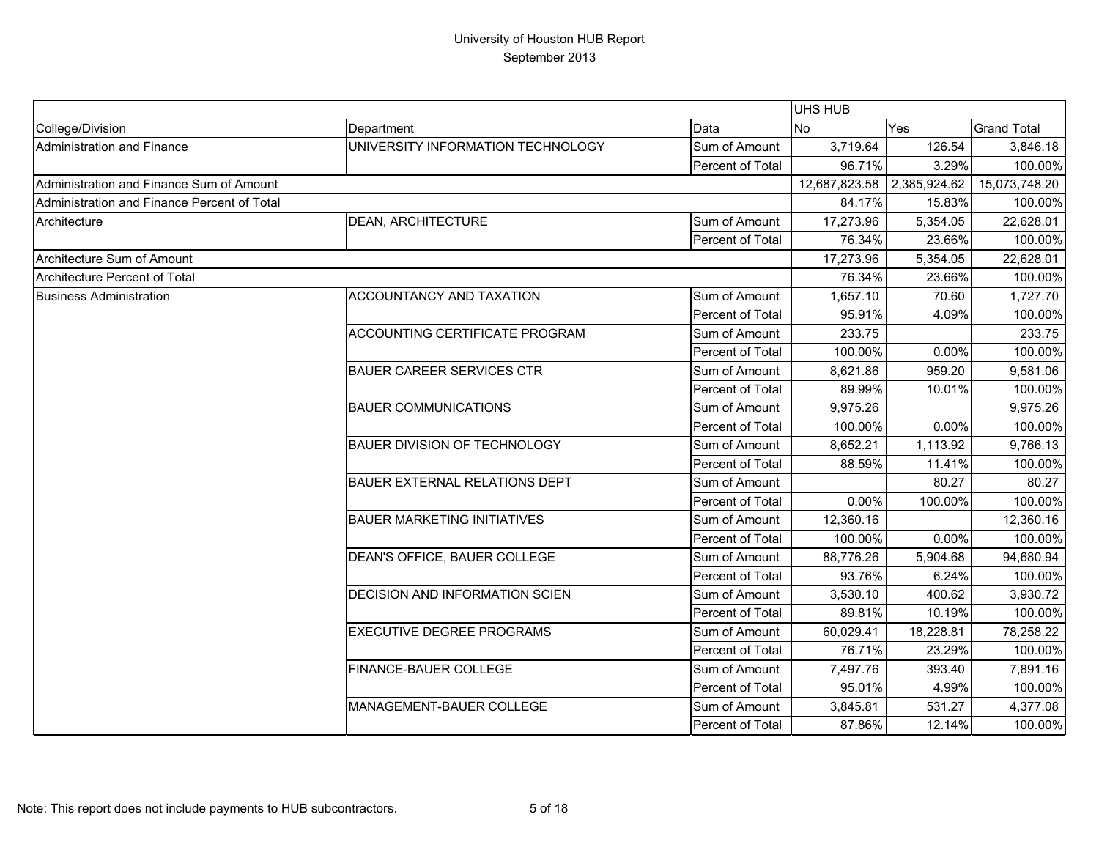|                                             |                                    |                  | <b>UHS HUB</b>             |           |                    |
|---------------------------------------------|------------------------------------|------------------|----------------------------|-----------|--------------------|
| College/Division                            | Department                         | Data             | <b>No</b>                  | Yes       | <b>Grand Total</b> |
| Administration and Finance                  | UNIVERSITY INFORMATION TECHNOLOGY  | Sum of Amount    | 3,719.64                   | 126.54    | 3,846.18           |
|                                             |                                    | Percent of Total | 96.71%                     | 3.29%     | 100.00%            |
| Administration and Finance Sum of Amount    |                                    |                  | 12,687,823.58 2,385,924.62 |           | 15,073,748.20      |
| Administration and Finance Percent of Total |                                    |                  | 84.17%                     | 15.83%    | 100.00%            |
| Architecture                                | <b>DEAN, ARCHITECTURE</b>          | Sum of Amount    | 17,273.96                  | 5,354.05  | 22,628.01          |
|                                             |                                    | Percent of Total | 76.34%                     | 23.66%    | 100.00%            |
| Architecture Sum of Amount                  |                                    |                  | 17,273.96                  | 5,354.05  | 22,628.01          |
| Architecture Percent of Total               |                                    |                  | 76.34%                     | 23.66%    | 100.00%            |
| <b>Business Administration</b>              | ACCOUNTANCY AND TAXATION           | Sum of Amount    | 1,657.10                   | 70.60     | 1,727.70           |
|                                             |                                    | Percent of Total | 95.91%                     | 4.09%     | 100.00%            |
|                                             | ACCOUNTING CERTIFICATE PROGRAM     | Sum of Amount    | 233.75                     |           | 233.75             |
|                                             |                                    | Percent of Total | 100.00%                    | 0.00%     | 100.00%            |
|                                             | <b>BAUER CAREER SERVICES CTR</b>   | Sum of Amount    | 8,621.86                   | 959.20    | 9,581.06           |
|                                             |                                    | Percent of Total | 89.99%                     | 10.01%    | 100.00%            |
|                                             | <b>BAUER COMMUNICATIONS</b>        | Sum of Amount    | 9,975.26                   |           | 9,975.26           |
|                                             |                                    | Percent of Total | 100.00%                    | 0.00%     | 100.00%            |
|                                             | BAUER DIVISION OF TECHNOLOGY       | Sum of Amount    | 8,652.21                   | 1,113.92  | 9,766.13           |
|                                             |                                    | Percent of Total | 88.59%                     | 11.41%    | 100.00%            |
|                                             | BAUER EXTERNAL RELATIONS DEPT      | Sum of Amount    |                            | 80.27     | 80.27              |
|                                             |                                    | Percent of Total | 0.00%                      | 100.00%   | 100.00%            |
|                                             | <b>BAUER MARKETING INITIATIVES</b> | Sum of Amount    | 12,360.16                  |           | 12,360.16          |
|                                             |                                    | Percent of Total | 100.00%                    | 0.00%     | 100.00%            |
|                                             | DEAN'S OFFICE, BAUER COLLEGE       | Sum of Amount    | 88,776.26                  | 5,904.68  | 94,680.94          |
|                                             |                                    | Percent of Total | 93.76%                     | 6.24%     | 100.00%            |
|                                             | DECISION AND INFORMATION SCIEN     | Sum of Amount    | 3,530.10                   | 400.62    | 3,930.72           |
|                                             |                                    | Percent of Total | 89.81%                     | 10.19%    | 100.00%            |
|                                             | <b>EXECUTIVE DEGREE PROGRAMS</b>   | Sum of Amount    | 60,029.41                  | 18,228.81 | 78,258.22          |
|                                             |                                    | Percent of Total | 76.71%                     | 23.29%    | 100.00%            |
|                                             | FINANCE-BAUER COLLEGE              | Sum of Amount    | 7,497.76                   | 393.40    | 7,891.16           |
|                                             |                                    | Percent of Total | 95.01%                     | 4.99%     | 100.00%            |
|                                             | MANAGEMENT-BAUER COLLEGE           | Sum of Amount    | 3,845.81                   | 531.27    | 4,377.08           |
|                                             |                                    | Percent of Total | 87.86%                     | 12.14%    | 100.00%            |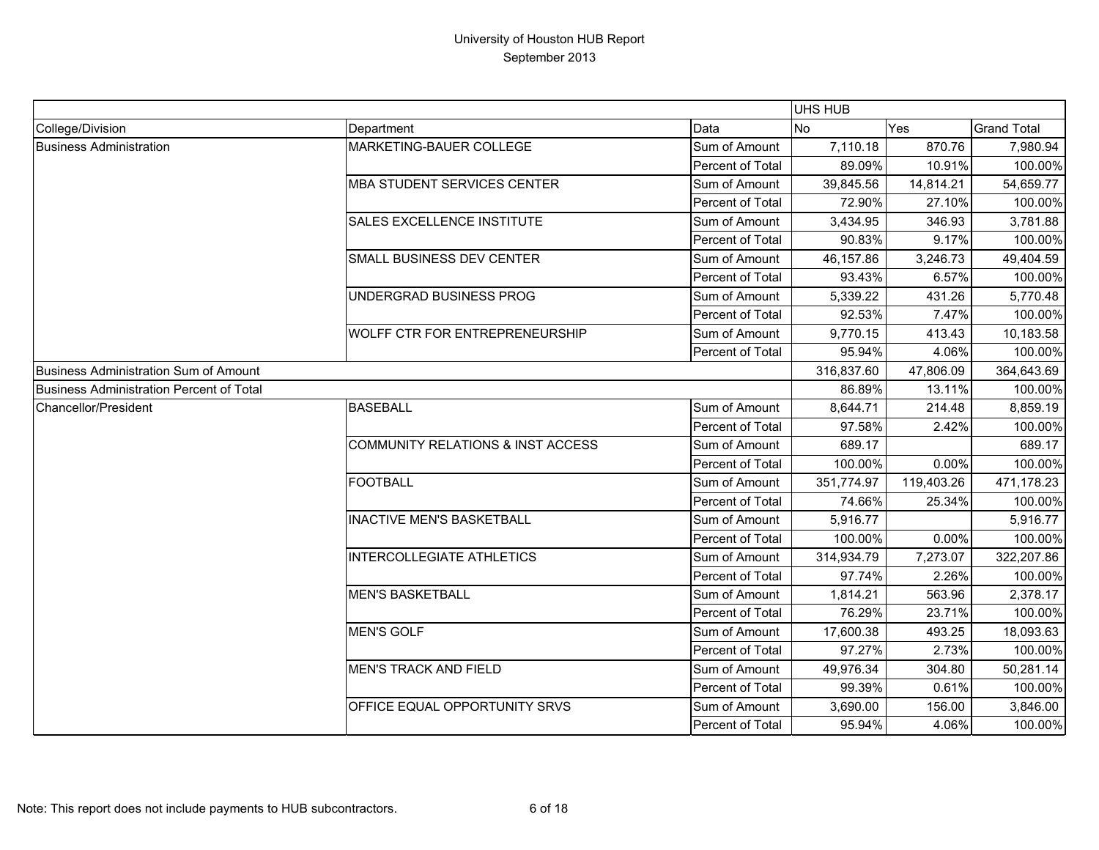|                                          |                                              |                  | UHS HUB    |            |                    |
|------------------------------------------|----------------------------------------------|------------------|------------|------------|--------------------|
| College/Division                         | Department                                   | Data             | <b>No</b>  | Yes        | <b>Grand Total</b> |
| <b>Business Administration</b>           | MARKETING-BAUER COLLEGE                      | Sum of Amount    | 7,110.18   | 870.76     | 7,980.94           |
|                                          |                                              | Percent of Total | 89.09%     | 10.91%     | 100.00%            |
|                                          | MBA STUDENT SERVICES CENTER                  | Sum of Amount    | 39,845.56  | 14,814.21  | 54,659.77          |
|                                          |                                              | Percent of Total | 72.90%     | 27.10%     | 100.00%            |
|                                          | SALES EXCELLENCE INSTITUTE                   | Sum of Amount    | 3,434.95   | 346.93     | 3,781.88           |
|                                          |                                              | Percent of Total | 90.83%     | 9.17%      | 100.00%            |
|                                          | SMALL BUSINESS DEV CENTER                    | Sum of Amount    | 46,157.86  | 3,246.73   | 49,404.59          |
|                                          |                                              | Percent of Total | 93.43%     | 6.57%      | 100.00%            |
|                                          | UNDERGRAD BUSINESS PROG                      | Sum of Amount    | 5,339.22   | 431.26     | 5,770.48           |
|                                          |                                              | Percent of Total | 92.53%     | 7.47%      | 100.00%            |
|                                          | <b>WOLFF CTR FOR ENTREPRENEURSHIP</b>        | Sum of Amount    | 9,770.15   | 413.43     | 10,183.58          |
|                                          |                                              | Percent of Total | 95.94%     | 4.06%      | 100.00%            |
| Business Administration Sum of Amount    |                                              |                  | 316,837.60 | 47,806.09  | 364,643.69         |
| Business Administration Percent of Total |                                              |                  | 86.89%     | 13.11%     | 100.00%            |
| Chancellor/President                     | <b>BASEBALL</b>                              | Sum of Amount    | 8,644.71   | 214.48     | 8,859.19           |
|                                          |                                              | Percent of Total | 97.58%     | 2.42%      | 100.00%            |
|                                          | <b>COMMUNITY RELATIONS &amp; INST ACCESS</b> | Sum of Amount    | 689.17     |            | 689.17             |
|                                          |                                              | Percent of Total | 100.00%    | 0.00%      | 100.00%            |
|                                          | <b>FOOTBALL</b>                              | Sum of Amount    | 351,774.97 | 119,403.26 | 471,178.23         |
|                                          |                                              | Percent of Total | 74.66%     | 25.34%     | 100.00%            |
|                                          | <b>INACTIVE MEN'S BASKETBALL</b>             | Sum of Amount    | 5,916.77   |            | 5,916.77           |
|                                          |                                              | Percent of Total | 100.00%    | $0.00\%$   | 100.00%            |
|                                          | <b>INTERCOLLEGIATE ATHLETICS</b>             | Sum of Amount    | 314,934.79 | 7,273.07   | 322,207.86         |
|                                          |                                              | Percent of Total | 97.74%     | 2.26%      | 100.00%            |
|                                          | <b>MEN'S BASKETBALL</b>                      | Sum of Amount    | 1,814.21   | 563.96     | 2,378.17           |
|                                          |                                              | Percent of Total | 76.29%     | 23.71%     | 100.00%            |
|                                          | <b>MEN'S GOLF</b>                            | Sum of Amount    | 17,600.38  | 493.25     | 18,093.63          |
|                                          |                                              | Percent of Total | 97.27%     | 2.73%      | 100.00%            |
|                                          | <b>MEN'S TRACK AND FIELD</b>                 | Sum of Amount    | 49,976.34  | 304.80     | 50,281.14          |
|                                          |                                              | Percent of Total | 99.39%     | 0.61%      | 100.00%            |
|                                          | OFFICE EQUAL OPPORTUNITY SRVS                | Sum of Amount    | 3,690.00   | 156.00     | 3,846.00           |
|                                          |                                              | Percent of Total | 95.94%     | 4.06%      | 100.00%            |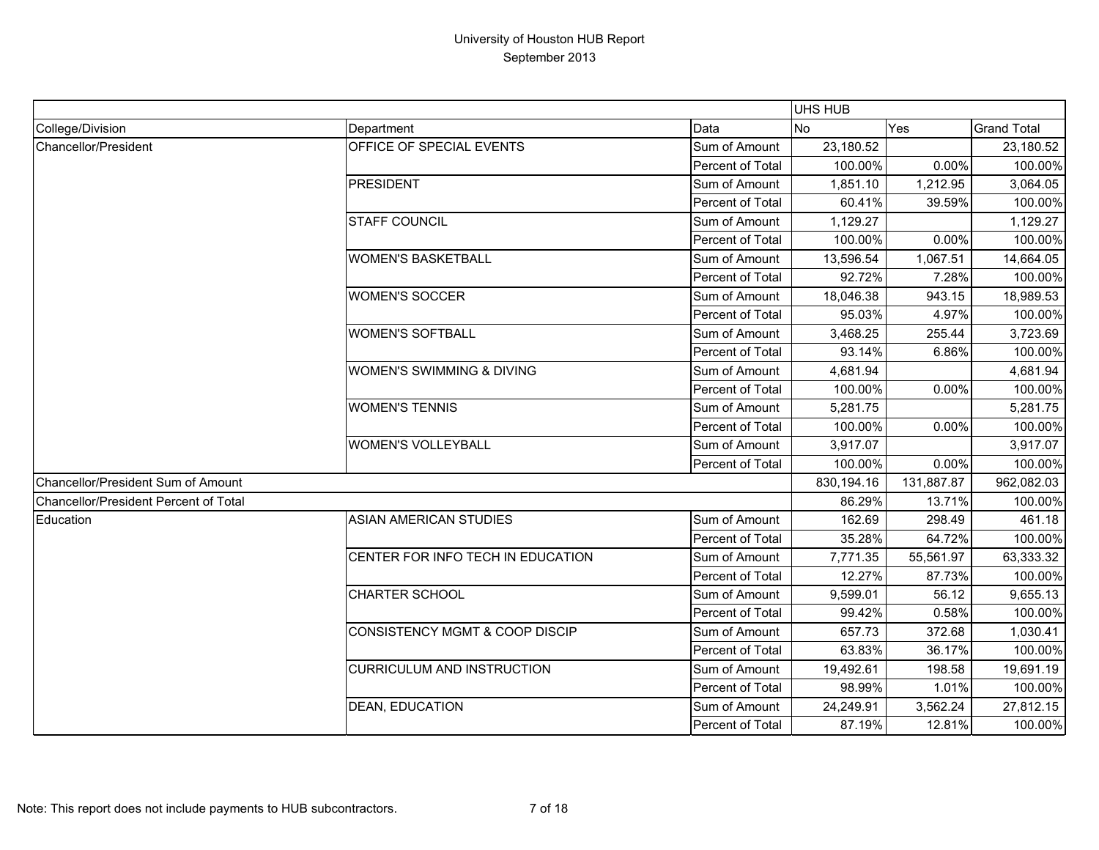|                                       |                                           |                  | UHS HUB    |            |                    |
|---------------------------------------|-------------------------------------------|------------------|------------|------------|--------------------|
| College/Division                      | Department                                | Data             | <b>No</b>  | Yes        | <b>Grand Total</b> |
| Chancellor/President                  | OFFICE OF SPECIAL EVENTS                  | Sum of Amount    | 23,180.52  |            | 23,180.52          |
|                                       |                                           | Percent of Total | 100.00%    | 0.00%      | 100.00%            |
|                                       | <b>PRESIDENT</b>                          | Sum of Amount    | 1,851.10   | 1,212.95   | 3,064.05           |
|                                       |                                           | Percent of Total | 60.41%     | 39.59%     | 100.00%            |
|                                       | <b>STAFF COUNCIL</b>                      | Sum of Amount    | 1,129.27   |            | 1,129.27           |
|                                       |                                           | Percent of Total | 100.00%    | 0.00%      | 100.00%            |
|                                       | <b>WOMEN'S BASKETBALL</b>                 | Sum of Amount    | 13,596.54  | 1,067.51   | 14,664.05          |
|                                       |                                           | Percent of Total | 92.72%     | 7.28%      | 100.00%            |
|                                       | <b>WOMEN'S SOCCER</b>                     | Sum of Amount    | 18,046.38  | 943.15     | 18,989.53          |
|                                       |                                           | Percent of Total | 95.03%     | 4.97%      | 100.00%            |
|                                       | <b>WOMEN'S SOFTBALL</b>                   | Sum of Amount    | 3,468.25   | 255.44     | 3,723.69           |
|                                       |                                           | Percent of Total | 93.14%     | 6.86%      | 100.00%            |
|                                       | WOMEN'S SWIMMING & DIVING                 | Sum of Amount    | 4,681.94   |            | 4,681.94           |
|                                       |                                           | Percent of Total | 100.00%    | 0.00%      | 100.00%            |
|                                       | <b>WOMEN'S TENNIS</b>                     | Sum of Amount    | 5,281.75   |            | 5,281.75           |
|                                       |                                           | Percent of Total | 100.00%    | 0.00%      | 100.00%            |
|                                       | <b>WOMEN'S VOLLEYBALL</b>                 | Sum of Amount    | 3,917.07   |            | 3,917.07           |
|                                       |                                           | Percent of Total | 100.00%    | 0.00%      | 100.00%            |
| Chancellor/President Sum of Amount    |                                           |                  | 830,194.16 | 131,887.87 | 962,082.03         |
| Chancellor/President Percent of Total |                                           |                  | 86.29%     | 13.71%     | 100.00%            |
| Education                             | <b>ASIAN AMERICAN STUDIES</b>             | Sum of Amount    | 162.69     | 298.49     | 461.18             |
|                                       |                                           | Percent of Total | 35.28%     | 64.72%     | 100.00%            |
|                                       | CENTER FOR INFO TECH IN EDUCATION         | Sum of Amount    | 7,771.35   | 55,561.97  | 63,333.32          |
|                                       |                                           | Percent of Total | 12.27%     | 87.73%     | 100.00%            |
|                                       | <b>CHARTER SCHOOL</b>                     | Sum of Amount    | 9,599.01   | 56.12      | 9,655.13           |
|                                       |                                           | Percent of Total | 99.42%     | 0.58%      | 100.00%            |
|                                       | <b>CONSISTENCY MGMT &amp; COOP DISCIP</b> | Sum of Amount    | 657.73     | 372.68     | 1,030.41           |
|                                       |                                           | Percent of Total | 63.83%     | 36.17%     | 100.00%            |
|                                       | <b>CURRICULUM AND INSTRUCTION</b>         | Sum of Amount    | 19,492.61  | 198.58     | 19,691.19          |
|                                       |                                           | Percent of Total | 98.99%     | 1.01%      | 100.00%            |
|                                       | <b>DEAN, EDUCATION</b>                    | Sum of Amount    | 24,249.91  | 3,562.24   | 27,812.15          |
|                                       |                                           | Percent of Total | 87.19%     | 12.81%     | 100.00%            |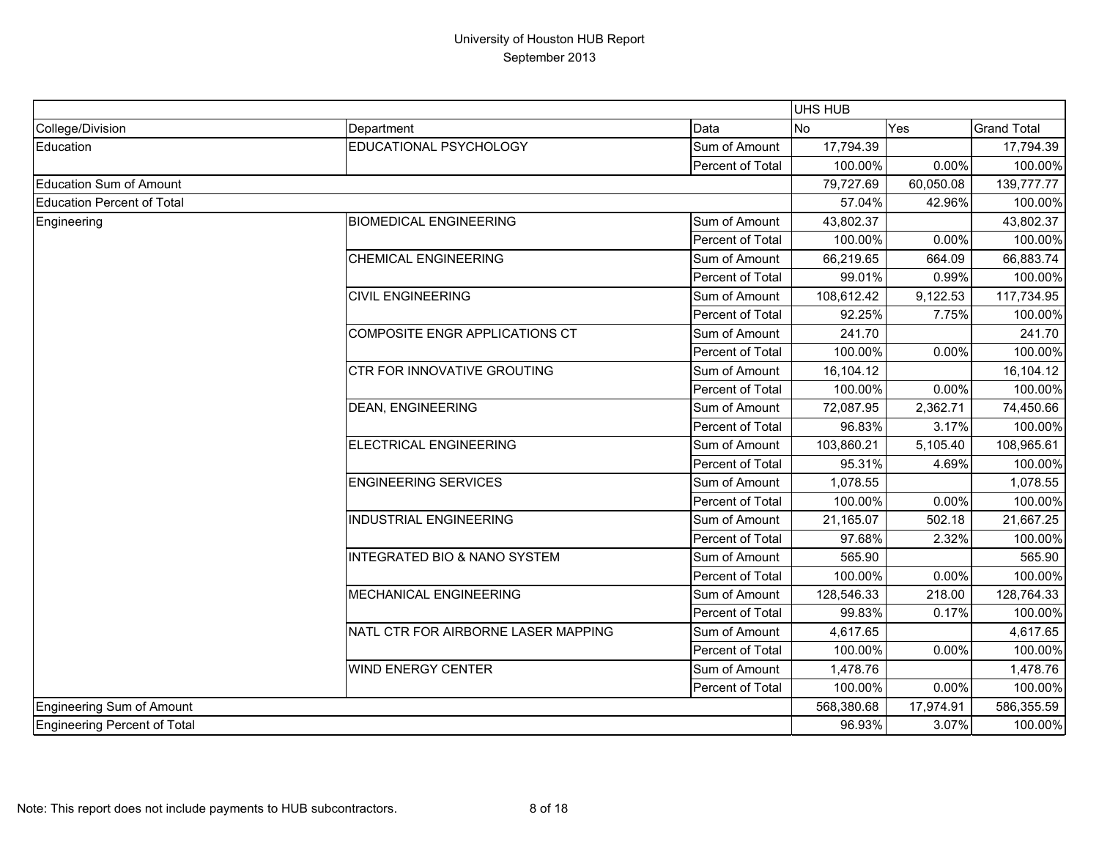|                                   |                                         |                  | UHS HUB    |           |                    |
|-----------------------------------|-----------------------------------------|------------------|------------|-----------|--------------------|
| College/Division                  | Department                              | Data             | No         | Yes       | <b>Grand Total</b> |
| Education                         | EDUCATIONAL PSYCHOLOGY                  | Sum of Amount    | 17,794.39  |           | 17,794.39          |
|                                   |                                         | Percent of Total | 100.00%    | 0.00%     | 100.00%            |
| <b>Education Sum of Amount</b>    |                                         |                  | 79,727.69  | 60,050.08 | 139,777.77         |
| <b>Education Percent of Total</b> |                                         |                  | 57.04%     | 42.96%    | 100.00%            |
| Engineering                       | <b>BIOMEDICAL ENGINEERING</b>           | Sum of Amount    | 43,802.37  |           | 43,802.37          |
|                                   |                                         | Percent of Total | 100.00%    | 0.00%     | 100.00%            |
|                                   | <b>CHEMICAL ENGINEERING</b>             | Sum of Amount    | 66,219.65  | 664.09    | 66,883.74          |
|                                   |                                         | Percent of Total | 99.01%     | 0.99%     | 100.00%            |
|                                   | <b>CIVIL ENGINEERING</b>                | Sum of Amount    | 108,612.42 | 9,122.53  | 117,734.95         |
|                                   |                                         | Percent of Total | 92.25%     | 7.75%     | 100.00%            |
|                                   | COMPOSITE ENGR APPLICATIONS CT          | Sum of Amount    | 241.70     |           | 241.70             |
|                                   |                                         | Percent of Total | 100.00%    | 0.00%     | 100.00%            |
|                                   | CTR FOR INNOVATIVE GROUTING             | Sum of Amount    | 16,104.12  |           | 16,104.12          |
|                                   |                                         | Percent of Total | 100.00%    | 0.00%     | 100.00%            |
|                                   | <b>DEAN, ENGINEERING</b>                | Sum of Amount    | 72,087.95  | 2,362.71  | 74,450.66          |
|                                   |                                         | Percent of Total | 96.83%     | 3.17%     | 100.00%            |
|                                   | ELECTRICAL ENGINEERING                  | Sum of Amount    | 103,860.21 | 5,105.40  | 108,965.61         |
|                                   |                                         | Percent of Total | 95.31%     | 4.69%     | 100.00%            |
|                                   | <b>ENGINEERING SERVICES</b>             | Sum of Amount    | 1,078.55   |           | 1,078.55           |
|                                   |                                         | Percent of Total | 100.00%    | 0.00%     | 100.00%            |
|                                   | <b>INDUSTRIAL ENGINEERING</b>           | Sum of Amount    | 21,165.07  | 502.18    | 21,667.25          |
|                                   |                                         | Percent of Total | 97.68%     | 2.32%     | 100.00%            |
|                                   | <b>INTEGRATED BIO &amp; NANO SYSTEM</b> | Sum of Amount    | 565.90     |           | 565.90             |
|                                   |                                         | Percent of Total | 100.00%    | 0.00%     | 100.00%            |
|                                   | <b>MECHANICAL ENGINEERING</b>           | Sum of Amount    | 128,546.33 | 218.00    | 128,764.33         |
|                                   |                                         | Percent of Total | 99.83%     | 0.17%     | 100.00%            |
|                                   | NATL CTR FOR AIRBORNE LASER MAPPING     | Sum of Amount    | 4,617.65   |           | 4,617.65           |
|                                   |                                         | Percent of Total | 100.00%    | 0.00%     | 100.00%            |
|                                   | <b>WIND ENERGY CENTER</b>               | Sum of Amount    | 1,478.76   |           | 1,478.76           |
|                                   |                                         | Percent of Total | 100.00%    | 0.00%     | 100.00%            |
| Engineering Sum of Amount         |                                         |                  | 568,380.68 | 17,974.91 | 586,355.59         |
| Engineering Percent of Total      |                                         |                  | 96.93%     | 3.07%     | 100.00%            |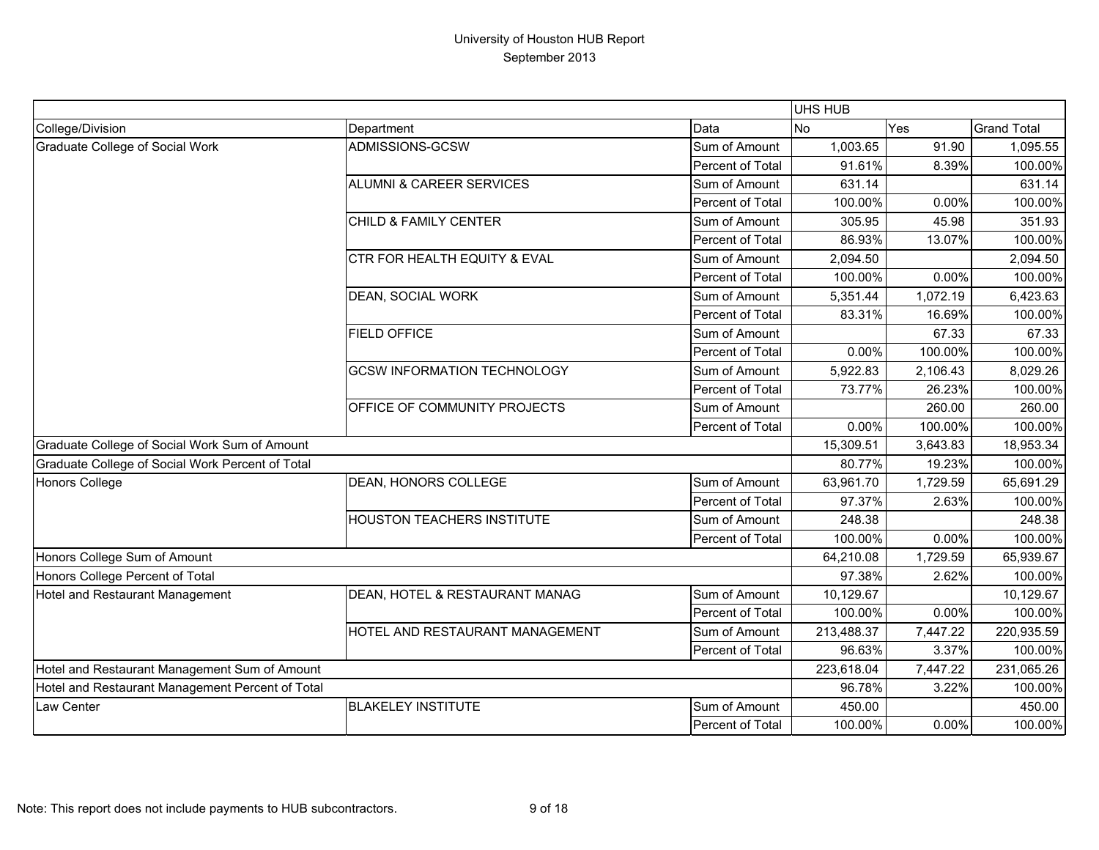|                                                  |                                     |                  | UHS HUB    |            |                    |
|--------------------------------------------------|-------------------------------------|------------------|------------|------------|--------------------|
| College/Division                                 | Department                          | Data             | <b>No</b>  | Yes        | <b>Grand Total</b> |
| <b>Graduate College of Social Work</b>           | ADMISSIONS-GCSW                     | Sum of Amount    | 1,003.65   | 91.90      | 1,095.55           |
|                                                  |                                     | Percent of Total | 91.61%     | 8.39%      | 100.00%            |
|                                                  | <b>ALUMNI &amp; CAREER SERVICES</b> | Sum of Amount    | 631.14     |            | 631.14             |
|                                                  |                                     | Percent of Total | 100.00%    | 0.00%      | 100.00%            |
|                                                  | CHILD & FAMILY CENTER               | Sum of Amount    | 305.95     | 45.98      | 351.93             |
|                                                  |                                     | Percent of Total | 86.93%     | 13.07%     | 100.00%            |
|                                                  | CTR FOR HEALTH EQUITY & EVAL        | Sum of Amount    | 2,094.50   |            | 2,094.50           |
|                                                  |                                     | Percent of Total | 100.00%    | 0.00%      | 100.00%            |
|                                                  | DEAN, SOCIAL WORK                   | Sum of Amount    | 5,351.44   | 1,072.19   | 6,423.63           |
|                                                  |                                     | Percent of Total | 83.31%     | 16.69%     | 100.00%            |
|                                                  | <b>FIELD OFFICE</b>                 | Sum of Amount    |            | 67.33      | 67.33              |
|                                                  |                                     | Percent of Total | 0.00%      | 100.00%    | 100.00%            |
|                                                  | <b>GCSW INFORMATION TECHNOLOGY</b>  | Sum of Amount    | 5,922.83   | 2,106.43   | 8,029.26           |
|                                                  |                                     | Percent of Total | 73.77%     | 26.23%     | 100.00%            |
|                                                  | OFFICE OF COMMUNITY PROJECTS        | Sum of Amount    |            | 260.00     | 260.00             |
|                                                  |                                     | Percent of Total | 0.00%      | 100.00%    | 100.00%            |
| Graduate College of Social Work Sum of Amount    |                                     |                  | 15,309.51  | 3,643.83   | 18,953.34          |
| Graduate College of Social Work Percent of Total |                                     |                  | 80.77%     | 19.23%     | 100.00%            |
| <b>Honors College</b>                            | DEAN, HONORS COLLEGE                | Sum of Amount    | 63,961.70  | 1,729.59   | 65,691.29          |
|                                                  |                                     | Percent of Total | 97.37%     | 2.63%      | 100.00%            |
|                                                  | <b>HOUSTON TEACHERS INSTITUTE</b>   | Sum of Amount    | 248.38     |            | 248.38             |
|                                                  |                                     | Percent of Total | 100.00%    | 0.00%      | 100.00%            |
| Honors College Sum of Amount                     |                                     |                  | 64,210.08  | 1,729.59   | 65,939.67          |
| Honors College Percent of Total                  |                                     |                  | 97.38%     | 2.62%      | 100.00%            |
| Hotel and Restaurant Management                  | DEAN, HOTEL & RESTAURANT MANAG      | Sum of Amount    | 10,129.67  |            | 10,129.67          |
|                                                  |                                     | Percent of Total | 100.00%    | 0.00%      | 100.00%            |
|                                                  | HOTEL AND RESTAURANT MANAGEMENT     | Sum of Amount    | 213,488.37 | 7,447.22   | 220,935.59         |
|                                                  |                                     | Percent of Total | 96.63%     | 3.37%      | 100.00%            |
| Hotel and Restaurant Management Sum of Amount    |                                     | 223,618.04       | 7,447.22   | 231,065.26 |                    |
| Hotel and Restaurant Management Percent of Total |                                     |                  | 96.78%     | 3.22%      | 100.00%            |
| Law Center                                       | <b>BLAKELEY INSTITUTE</b>           | Sum of Amount    | 450.00     |            | 450.00             |
|                                                  |                                     | Percent of Total | 100.00%    | 0.00%      | 100.00%            |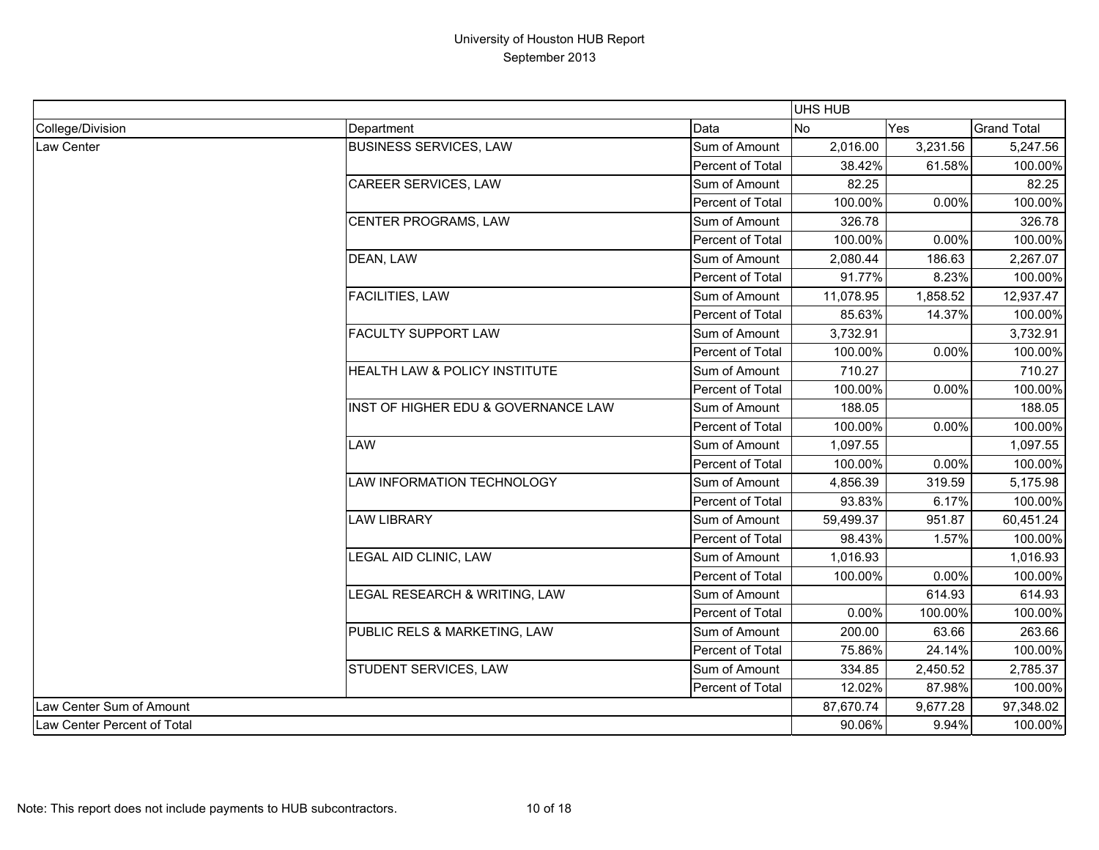|                             |                                     |                  | <b>UHS HUB</b> |          |                    |
|-----------------------------|-------------------------------------|------------------|----------------|----------|--------------------|
| College/Division            | Department                          | Data             | No             | Yes      | <b>Grand Total</b> |
| Law Center                  | <b>BUSINESS SERVICES, LAW</b>       | Sum of Amount    | 2,016.00       | 3,231.56 | 5,247.56           |
|                             |                                     | Percent of Total | 38.42%         | 61.58%   | 100.00%            |
|                             | <b>CAREER SERVICES, LAW</b>         | Sum of Amount    | 82.25          |          | 82.25              |
|                             |                                     | Percent of Total | 100.00%        | 0.00%    | 100.00%            |
|                             | CENTER PROGRAMS, LAW                | Sum of Amount    | 326.78         |          | 326.78             |
|                             |                                     | Percent of Total | 100.00%        | 0.00%    | 100.00%            |
|                             | DEAN, LAW                           | Sum of Amount    | 2,080.44       | 186.63   | 2,267.07           |
|                             |                                     | Percent of Total | 91.77%         | 8.23%    | 100.00%            |
|                             | <b>FACILITIES, LAW</b>              | Sum of Amount    | 11,078.95      | 1,858.52 | 12,937.47          |
|                             |                                     | Percent of Total | 85.63%         | 14.37%   | 100.00%            |
|                             | <b>FACULTY SUPPORT LAW</b>          | Sum of Amount    | 3,732.91       |          | 3,732.91           |
|                             |                                     | Percent of Total | 100.00%        | 0.00%    | 100.00%            |
|                             | HEALTH LAW & POLICY INSTITUTE       | Sum of Amount    | 710.27         |          | 710.27             |
|                             |                                     | Percent of Total | 100.00%        | 0.00%    | 100.00%            |
|                             | INST OF HIGHER EDU & GOVERNANCE LAW | Sum of Amount    | 188.05         |          | 188.05             |
|                             |                                     | Percent of Total | 100.00%        | 0.00%    | 100.00%            |
|                             | <b>LAW</b>                          | Sum of Amount    | 1,097.55       |          | 1,097.55           |
|                             |                                     | Percent of Total | 100.00%        | 0.00%    | 100.00%            |
|                             | LAW INFORMATION TECHNOLOGY          | Sum of Amount    | 4,856.39       | 319.59   | 5,175.98           |
|                             |                                     | Percent of Total | 93.83%         | 6.17%    | 100.00%            |
|                             | <b>LAW LIBRARY</b>                  | Sum of Amount    | 59,499.37      | 951.87   | 60,451.24          |
|                             |                                     | Percent of Total | 98.43%         | 1.57%    | 100.00%            |
|                             | LEGAL AID CLINIC, LAW               | Sum of Amount    | 1,016.93       |          | 1,016.93           |
|                             |                                     | Percent of Total | 100.00%        | 0.00%    | 100.00%            |
|                             | LEGAL RESEARCH & WRITING, LAW       | Sum of Amount    |                | 614.93   | 614.93             |
|                             |                                     | Percent of Total | 0.00%          | 100.00%  | 100.00%            |
|                             | PUBLIC RELS & MARKETING, LAW        | Sum of Amount    | 200.00         | 63.66    | 263.66             |
|                             |                                     | Percent of Total | 75.86%         | 24.14%   | 100.00%            |
|                             | STUDENT SERVICES, LAW               | Sum of Amount    | 334.85         | 2,450.52 | 2,785.37           |
|                             |                                     | Percent of Total | 12.02%         | 87.98%   | 100.00%            |
| Law Center Sum of Amount    |                                     |                  | 87,670.74      | 9,677.28 | 97,348.02          |
| Law Center Percent of Total |                                     |                  | 90.06%         | 9.94%    | 100.00%            |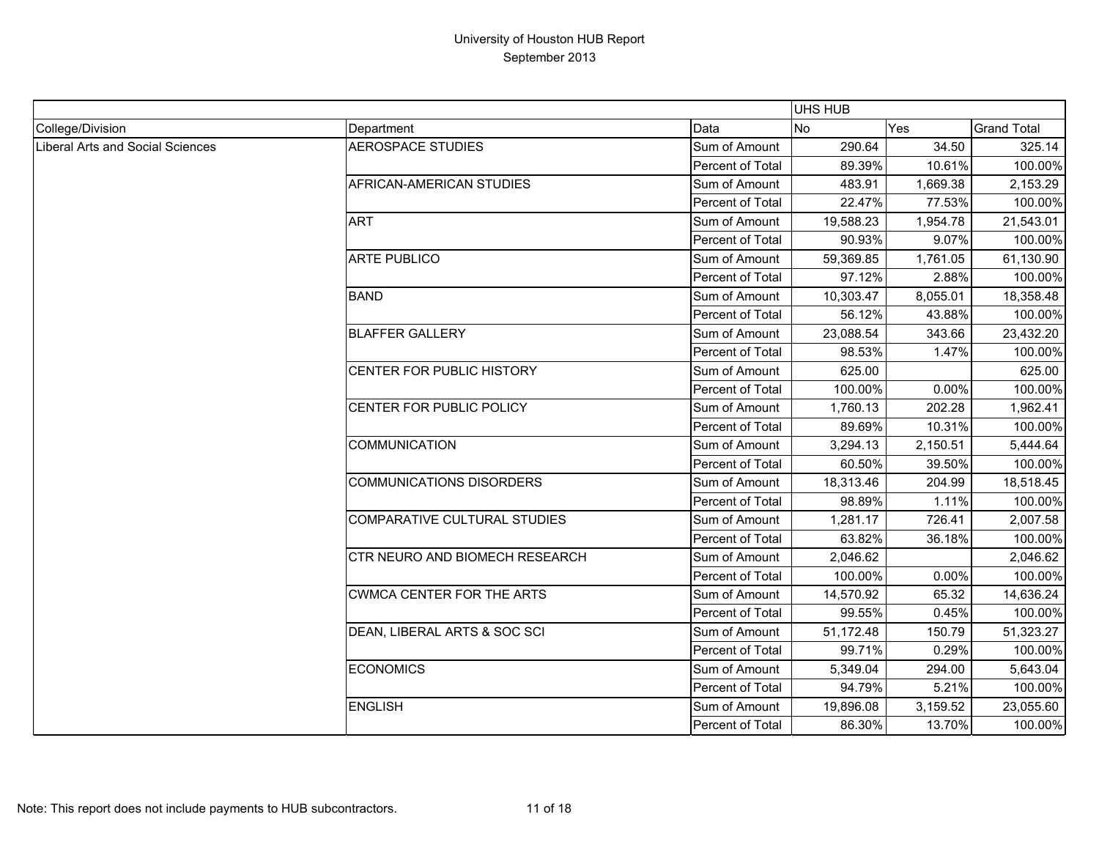|                                         |                                       |                  | <b>UHS HUB</b> |          |                    |
|-----------------------------------------|---------------------------------------|------------------|----------------|----------|--------------------|
| College/Division                        | Department                            | Data             | <b>No</b>      | Yes      | <b>Grand Total</b> |
| <b>Liberal Arts and Social Sciences</b> | <b>AEROSPACE STUDIES</b>              | Sum of Amount    | 290.64         | 34.50    | 325.14             |
|                                         |                                       | Percent of Total | 89.39%         | 10.61%   | 100.00%            |
|                                         | AFRICAN-AMERICAN STUDIES              | Sum of Amount    | 483.91         | 1,669.38 | 2,153.29           |
|                                         |                                       | Percent of Total | 22.47%         | 77.53%   | 100.00%            |
|                                         | <b>ART</b>                            | Sum of Amount    | 19,588.23      | 1,954.78 | 21,543.01          |
|                                         |                                       | Percent of Total | 90.93%         | 9.07%    | 100.00%            |
|                                         | <b>ARTE PUBLICO</b>                   | Sum of Amount    | 59,369.85      | 1,761.05 | 61,130.90          |
|                                         |                                       | Percent of Total | 97.12%         | 2.88%    | 100.00%            |
|                                         | <b>BAND</b>                           | Sum of Amount    | 10,303.47      | 8,055.01 | 18,358.48          |
|                                         |                                       | Percent of Total | 56.12%         | 43.88%   | 100.00%            |
|                                         | <b>BLAFFER GALLERY</b>                | Sum of Amount    | 23,088.54      | 343.66   | 23,432.20          |
|                                         |                                       | Percent of Total | 98.53%         | 1.47%    | 100.00%            |
|                                         | CENTER FOR PUBLIC HISTORY             | Sum of Amount    | 625.00         |          | 625.00             |
|                                         |                                       | Percent of Total | 100.00%        | 0.00%    | 100.00%            |
|                                         | CENTER FOR PUBLIC POLICY              | Sum of Amount    | 1,760.13       | 202.28   | 1,962.41           |
|                                         |                                       | Percent of Total | 89.69%         | 10.31%   | 100.00%            |
|                                         | <b>COMMUNICATION</b>                  | Sum of Amount    | 3,294.13       | 2,150.51 | 5,444.64           |
|                                         |                                       | Percent of Total | 60.50%         | 39.50%   | 100.00%            |
|                                         | <b>COMMUNICATIONS DISORDERS</b>       | Sum of Amount    | 18,313.46      | 204.99   | 18,518.45          |
|                                         |                                       | Percent of Total | 98.89%         | 1.11%    | 100.00%            |
|                                         | COMPARATIVE CULTURAL STUDIES          | Sum of Amount    | 1,281.17       | 726.41   | 2,007.58           |
|                                         |                                       | Percent of Total | 63.82%         | 36.18%   | 100.00%            |
|                                         | <b>CTR NEURO AND BIOMECH RESEARCH</b> | Sum of Amount    | 2,046.62       |          | 2,046.62           |
|                                         |                                       | Percent of Total | 100.00%        | 0.00%    | 100.00%            |
|                                         | <b>CWMCA CENTER FOR THE ARTS</b>      | Sum of Amount    | 14,570.92      | 65.32    | 14,636.24          |
|                                         |                                       | Percent of Total | 99.55%         | 0.45%    | 100.00%            |
|                                         | DEAN, LIBERAL ARTS & SOC SCI          | Sum of Amount    | 51,172.48      | 150.79   | 51,323.27          |
|                                         |                                       | Percent of Total | 99.71%         | 0.29%    | 100.00%            |
|                                         | <b>ECONOMICS</b>                      | Sum of Amount    | 5,349.04       | 294.00   | 5,643.04           |
|                                         |                                       | Percent of Total | 94.79%         | 5.21%    | 100.00%            |
|                                         | <b>ENGLISH</b>                        | Sum of Amount    | 19,896.08      | 3,159.52 | 23,055.60          |
|                                         |                                       | Percent of Total | 86.30%         | 13.70%   | 100.00%            |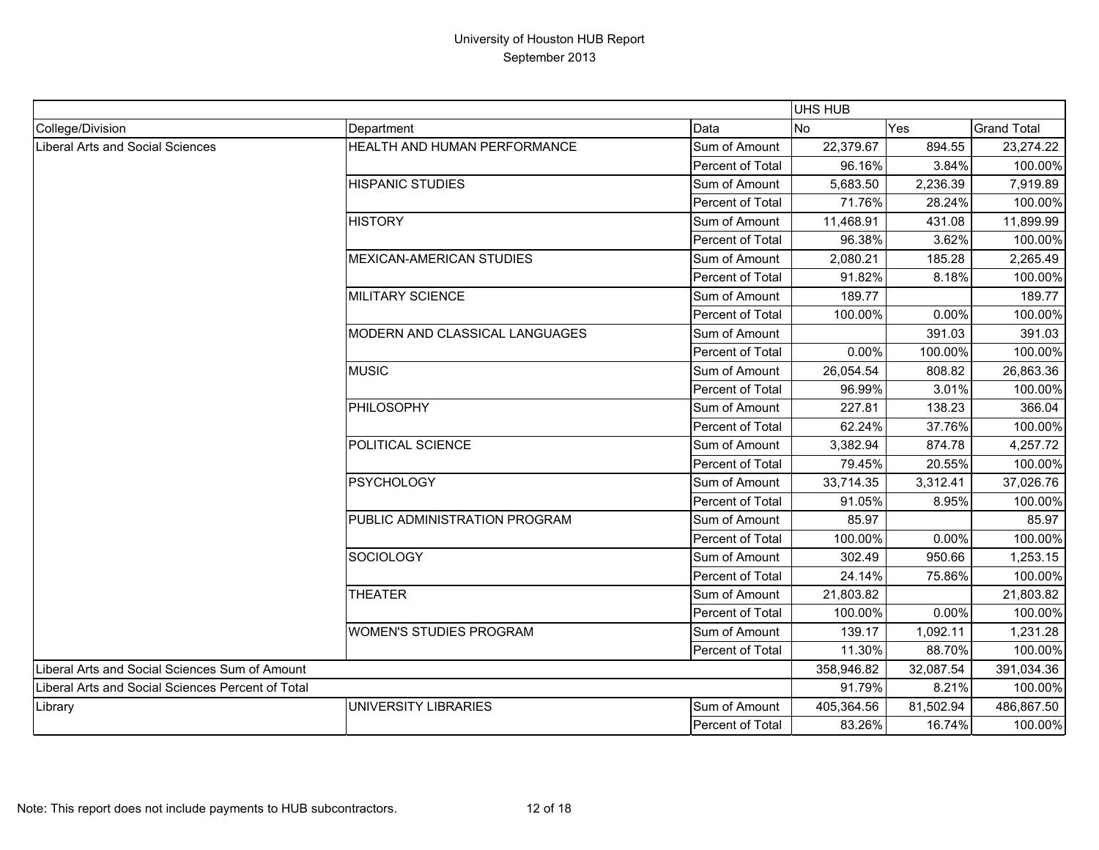|                                                   |                                 |                  | UHS HUB    |           |                    |
|---------------------------------------------------|---------------------------------|------------------|------------|-----------|--------------------|
| College/Division                                  | Department                      | Data             | <b>No</b>  | Yes       | <b>Grand Total</b> |
| <b>Liberal Arts and Social Sciences</b>           | HEALTH AND HUMAN PERFORMANCE    | Sum of Amount    | 22,379.67  | 894.55    | 23,274.22          |
|                                                   |                                 | Percent of Total | 96.16%     | 3.84%     | 100.00%            |
|                                                   | <b>HISPANIC STUDIES</b>         | Sum of Amount    | 5,683.50   | 2,236.39  | 7,919.89           |
|                                                   |                                 | Percent of Total | 71.76%     | 28.24%    | 100.00%            |
|                                                   | <b>HISTORY</b>                  | Sum of Amount    | 11,468.91  | 431.08    | 11,899.99          |
|                                                   |                                 | Percent of Total | 96.38%     | 3.62%     | 100.00%            |
|                                                   | <b>MEXICAN-AMERICAN STUDIES</b> | Sum of Amount    | 2,080.21   | 185.28    | 2,265.49           |
|                                                   |                                 | Percent of Total | 91.82%     | 8.18%     | 100.00%            |
|                                                   | <b>MILITARY SCIENCE</b>         | Sum of Amount    | 189.77     |           | 189.77             |
|                                                   |                                 | Percent of Total | 100.00%    | 0.00%     | 100.00%            |
|                                                   | MODERN AND CLASSICAL LANGUAGES  | Sum of Amount    |            | 391.03    | 391.03             |
|                                                   |                                 | Percent of Total | 0.00%      | 100.00%   | 100.00%            |
|                                                   | <b>MUSIC</b>                    | Sum of Amount    | 26,054.54  | 808.82    | 26,863.36          |
|                                                   |                                 | Percent of Total | 96.99%     | 3.01%     | 100.00%            |
|                                                   | <b>PHILOSOPHY</b>               | Sum of Amount    | 227.81     | 138.23    | 366.04             |
|                                                   |                                 | Percent of Total | 62.24%     | 37.76%    | 100.00%            |
|                                                   | POLITICAL SCIENCE               | Sum of Amount    | 3,382.94   | 874.78    | 4,257.72           |
|                                                   |                                 | Percent of Total | 79.45%     | 20.55%    | 100.00%            |
|                                                   | <b>PSYCHOLOGY</b>               | Sum of Amount    | 33,714.35  | 3,312.41  | 37,026.76          |
|                                                   |                                 | Percent of Total | 91.05%     | 8.95%     | 100.00%            |
|                                                   | PUBLIC ADMINISTRATION PROGRAM   | Sum of Amount    | 85.97      |           | 85.97              |
|                                                   |                                 | Percent of Total | 100.00%    | 0.00%     | 100.00%            |
|                                                   | <b>SOCIOLOGY</b>                | Sum of Amount    | 302.49     | 950.66    | 1,253.15           |
|                                                   |                                 | Percent of Total | 24.14%     | 75.86%    | 100.00%            |
|                                                   | <b>THEATER</b>                  | Sum of Amount    | 21,803.82  |           | 21,803.82          |
|                                                   |                                 | Percent of Total | 100.00%    | 0.00%     | 100.00%            |
|                                                   | <b>WOMEN'S STUDIES PROGRAM</b>  | Sum of Amount    | 139.17     | 1,092.11  | 1,231.28           |
|                                                   |                                 | Percent of Total | 11.30%     | 88.70%    | 100.00%            |
| Liberal Arts and Social Sciences Sum of Amount    |                                 |                  | 358,946.82 | 32,087.54 | 391,034.36         |
| Liberal Arts and Social Sciences Percent of Total |                                 |                  | 91.79%     | 8.21%     | 100.00%            |
| Library                                           | UNIVERSITY LIBRARIES            | Sum of Amount    | 405,364.56 | 81,502.94 | 486,867.50         |
|                                                   |                                 | Percent of Total | 83.26%     | 16.74%    | 100.00%            |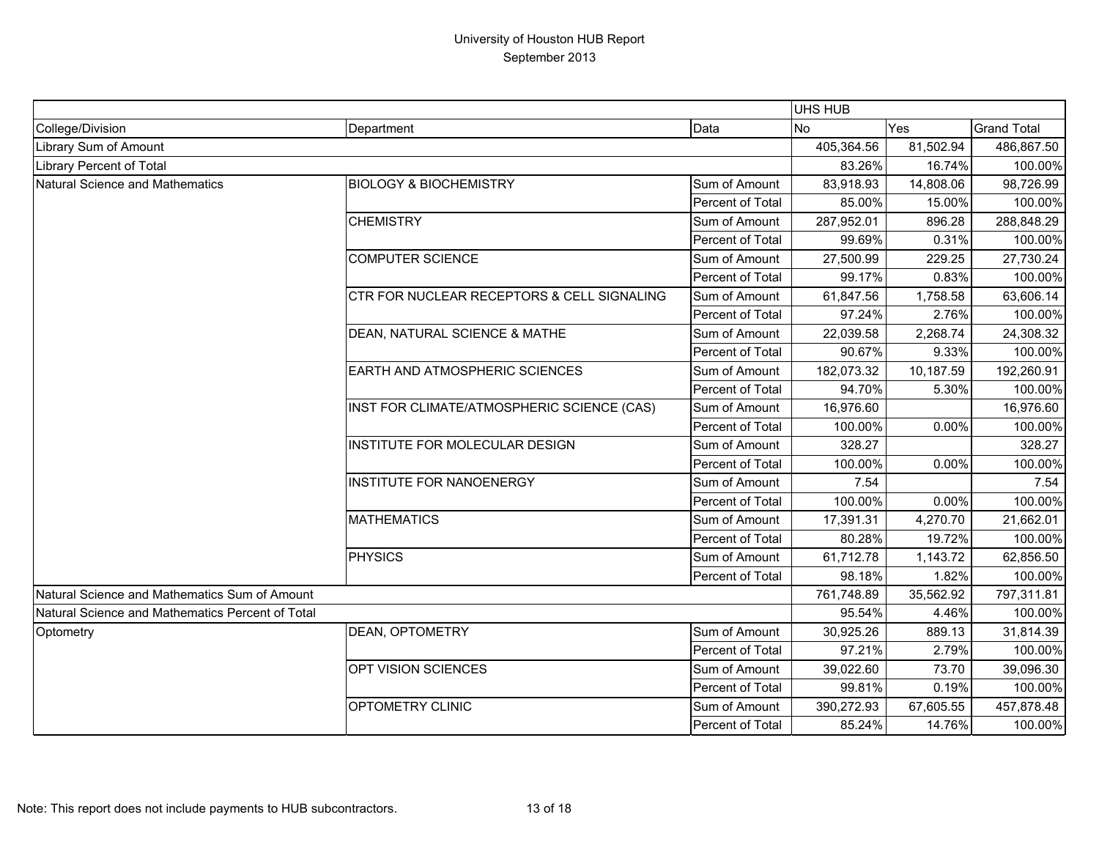|                                                  |                                            | UHS HUB          |            |            |                    |
|--------------------------------------------------|--------------------------------------------|------------------|------------|------------|--------------------|
| College/Division                                 | Department                                 | Data             | <b>No</b>  | Yes        | <b>Grand Total</b> |
| Library Sum of Amount                            |                                            | 405,364.56       | 81,502.94  | 486,867.50 |                    |
| Library Percent of Total                         |                                            | 83.26%           | 16.74%     | 100.00%    |                    |
| Natural Science and Mathematics                  | <b>BIOLOGY &amp; BIOCHEMISTRY</b>          | Sum of Amount    | 83,918.93  | 14,808.06  | 98,726.99          |
|                                                  |                                            | Percent of Total | 85.00%     | 15.00%     | 100.00%            |
|                                                  | <b>CHEMISTRY</b>                           | Sum of Amount    | 287,952.01 | 896.28     | 288,848.29         |
|                                                  |                                            | Percent of Total | 99.69%     | 0.31%      | 100.00%            |
|                                                  | <b>COMPUTER SCIENCE</b>                    | Sum of Amount    | 27,500.99  | 229.25     | 27,730.24          |
|                                                  |                                            | Percent of Total | 99.17%     | 0.83%      | 100.00%            |
|                                                  | CTR FOR NUCLEAR RECEPTORS & CELL SIGNALING | Sum of Amount    | 61,847.56  | 1,758.58   | 63,606.14          |
|                                                  |                                            | Percent of Total | 97.24%     | 2.76%      | 100.00%            |
|                                                  | DEAN, NATURAL SCIENCE & MATHE              | Sum of Amount    | 22,039.58  | 2,268.74   | 24,308.32          |
|                                                  |                                            | Percent of Total | 90.67%     | 9.33%      | 100.00%            |
|                                                  | <b>EARTH AND ATMOSPHERIC SCIENCES</b>      | Sum of Amount    | 182,073.32 | 10,187.59  | 192,260.91         |
|                                                  |                                            | Percent of Total | 94.70%     | 5.30%      | 100.00%            |
|                                                  | INST FOR CLIMATE/ATMOSPHERIC SCIENCE (CAS) | Sum of Amount    | 16,976.60  |            | 16,976.60          |
|                                                  |                                            | Percent of Total | 100.00%    | 0.00%      | 100.00%            |
|                                                  | INSTITUTE FOR MOLECULAR DESIGN             | Sum of Amount    | 328.27     |            | 328.27             |
|                                                  |                                            | Percent of Total | 100.00%    | 0.00%      | 100.00%            |
|                                                  | <b>INSTITUTE FOR NANOENERGY</b>            | Sum of Amount    | 7.54       |            | 7.54               |
|                                                  |                                            | Percent of Total | 100.00%    | 0.00%      | 100.00%            |
|                                                  | <b>MATHEMATICS</b>                         | Sum of Amount    | 17,391.31  | 4,270.70   | 21,662.01          |
|                                                  |                                            | Percent of Total | 80.28%     | 19.72%     | 100.00%            |
|                                                  | <b>PHYSICS</b>                             | Sum of Amount    | 61,712.78  | 1,143.72   | 62,856.50          |
|                                                  |                                            | Percent of Total | 98.18%     | 1.82%      | 100.00%            |
| Natural Science and Mathematics Sum of Amount    |                                            |                  | 761,748.89 | 35,562.92  | 797,311.81         |
| Natural Science and Mathematics Percent of Total |                                            | 95.54%           | 4.46%      | 100.00%    |                    |
| Optometry                                        | <b>DEAN, OPTOMETRY</b>                     | Sum of Amount    | 30,925.26  | 889.13     | 31,814.39          |
|                                                  |                                            | Percent of Total | 97.21%     | 2.79%      | 100.00%            |
|                                                  | OPT VISION SCIENCES                        | Sum of Amount    | 39,022.60  | 73.70      | 39,096.30          |
|                                                  |                                            | Percent of Total | 99.81%     | 0.19%      | 100.00%            |
|                                                  | OPTOMETRY CLINIC                           | Sum of Amount    | 390,272.93 | 67,605.55  | 457,878.48         |
|                                                  |                                            | Percent of Total | 85.24%     | 14.76%     | 100.00%            |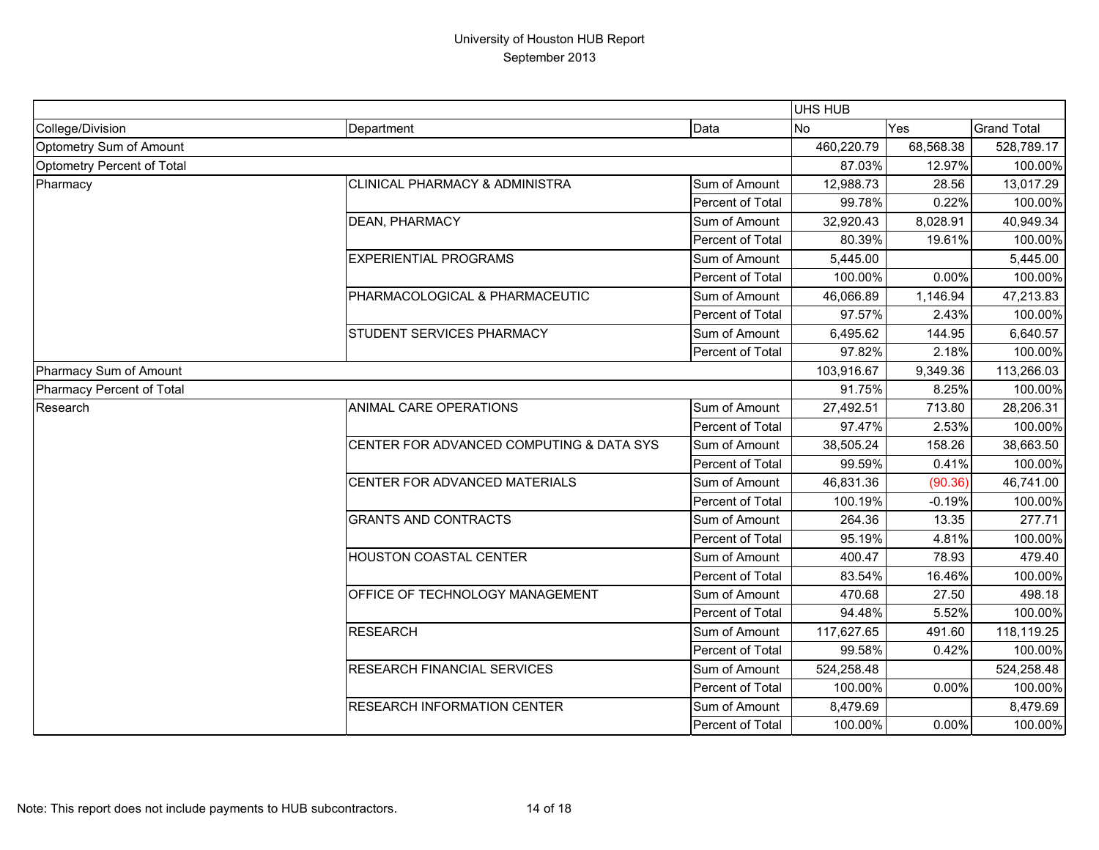|                            |                                           |                  | UHS HUB    |           |                    |
|----------------------------|-------------------------------------------|------------------|------------|-----------|--------------------|
| College/Division           | Department                                | Data             | <b>No</b>  | Yes       | <b>Grand Total</b> |
| Optometry Sum of Amount    |                                           |                  | 460,220.79 | 68,568.38 | 528,789.17         |
| Optometry Percent of Total |                                           | 87.03%           | 12.97%     | 100.00%   |                    |
| Pharmacy                   | <b>CLINICAL PHARMACY &amp; ADMINISTRA</b> | Sum of Amount    | 12,988.73  | 28.56     | 13,017.29          |
|                            |                                           | Percent of Total | 99.78%     | 0.22%     | 100.00%            |
|                            | <b>DEAN, PHARMACY</b>                     | Sum of Amount    | 32,920.43  | 8,028.91  | 40,949.34          |
|                            |                                           | Percent of Total | 80.39%     | 19.61%    | 100.00%            |
|                            | <b>EXPERIENTIAL PROGRAMS</b>              | Sum of Amount    | 5,445.00   |           | 5,445.00           |
|                            |                                           | Percent of Total | 100.00%    | 0.00%     | 100.00%            |
|                            | PHARMACOLOGICAL & PHARMACEUTIC            | Sum of Amount    | 46,066.89  | 1,146.94  | 47,213.83          |
|                            |                                           | Percent of Total | 97.57%     | 2.43%     | 100.00%            |
|                            | <b>STUDENT SERVICES PHARMACY</b>          | Sum of Amount    | 6,495.62   | 144.95    | 6,640.57           |
|                            |                                           | Percent of Total | 97.82%     | 2.18%     | 100.00%            |
| Pharmacy Sum of Amount     |                                           |                  | 103,916.67 | 9,349.36  | 113,266.03         |
| Pharmacy Percent of Total  |                                           |                  | 91.75%     | 8.25%     | 100.00%            |
| Research                   | ANIMAL CARE OPERATIONS                    | Sum of Amount    | 27,492.51  | 713.80    | 28,206.31          |
|                            |                                           | Percent of Total | 97.47%     | 2.53%     | 100.00%            |
|                            | CENTER FOR ADVANCED COMPUTING & DATA SYS  | Sum of Amount    | 38,505.24  | 158.26    | 38,663.50          |
|                            |                                           | Percent of Total | 99.59%     | 0.41%     | 100.00%            |
|                            | CENTER FOR ADVANCED MATERIALS             | Sum of Amount    | 46,831.36  | (90.36)   | 46,741.00          |
|                            |                                           | Percent of Total | 100.19%    | $-0.19%$  | 100.00%            |
|                            | <b>GRANTS AND CONTRACTS</b>               | Sum of Amount    | 264.36     | 13.35     | 277.71             |
|                            |                                           | Percent of Total | 95.19%     | 4.81%     | 100.00%            |
|                            | <b>HOUSTON COASTAL CENTER</b>             | Sum of Amount    | 400.47     | 78.93     | 479.40             |
|                            |                                           | Percent of Total | 83.54%     | 16.46%    | 100.00%            |
|                            | OFFICE OF TECHNOLOGY MANAGEMENT           | Sum of Amount    | 470.68     | 27.50     | 498.18             |
|                            |                                           | Percent of Total | 94.48%     | 5.52%     | 100.00%            |
|                            | <b>RESEARCH</b>                           | Sum of Amount    | 117,627.65 | 491.60    | 118,119.25         |
|                            |                                           | Percent of Total | 99.58%     | 0.42%     | 100.00%            |
|                            | <b>RESEARCH FINANCIAL SERVICES</b>        | Sum of Amount    | 524,258.48 |           | 524,258.48         |
|                            |                                           | Percent of Total | 100.00%    | 0.00%     | 100.00%            |
|                            | <b>RESEARCH INFORMATION CENTER</b>        | Sum of Amount    | 8,479.69   |           | 8,479.69           |
|                            |                                           | Percent of Total | 100.00%    | 0.00%     | 100.00%            |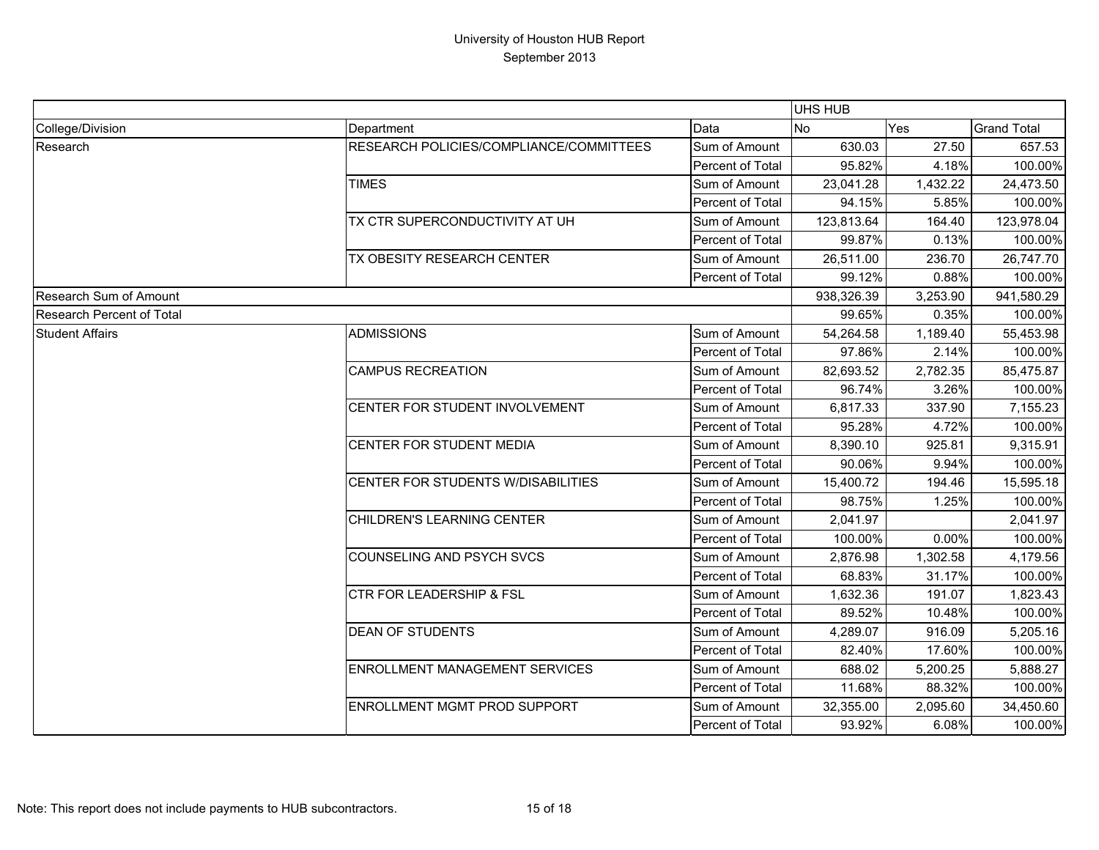|                                  |                                         |                         | <b>UHS HUB</b> |          |                    |
|----------------------------------|-----------------------------------------|-------------------------|----------------|----------|--------------------|
| College/Division                 | Department                              | Data                    | <b>No</b>      | Yes      | <b>Grand Total</b> |
| Research                         | RESEARCH POLICIES/COMPLIANCE/COMMITTEES | Sum of Amount           | 630.03         | 27.50    | 657.53             |
|                                  |                                         | Percent of Total        | 95.82%         | 4.18%    | 100.00%            |
|                                  | <b>TIMES</b>                            | Sum of Amount           | 23,041.28      | 1,432.22 | 24,473.50          |
|                                  |                                         | Percent of Total        | 94.15%         | 5.85%    | 100.00%            |
|                                  | TX CTR SUPERCONDUCTIVITY AT UH          | Sum of Amount           | 123,813.64     | 164.40   | 123,978.04         |
|                                  |                                         | Percent of Total        | 99.87%         | 0.13%    | 100.00%            |
|                                  | TX OBESITY RESEARCH CENTER              | Sum of Amount           | 26,511.00      | 236.70   | 26,747.70          |
|                                  |                                         | Percent of Total        | 99.12%         | 0.88%    | 100.00%            |
| Research Sum of Amount           |                                         |                         | 938,326.39     | 3,253.90 | 941,580.29         |
| <b>Research Percent of Total</b> |                                         |                         | 99.65%         | 0.35%    | 100.00%            |
| <b>Student Affairs</b>           | <b>ADMISSIONS</b>                       | Sum of Amount           | 54,264.58      | 1,189.40 | 55,453.98          |
|                                  |                                         | Percent of Total        | 97.86%         | 2.14%    | 100.00%            |
|                                  | <b>CAMPUS RECREATION</b>                | Sum of Amount           | 82,693.52      | 2,782.35 | 85,475.87          |
|                                  |                                         | Percent of Total        | 96.74%         | 3.26%    | 100.00%            |
|                                  | CENTER FOR STUDENT INVOLVEMENT          | Sum of Amount           | 6,817.33       | 337.90   | 7,155.23           |
|                                  |                                         | Percent of Total        | 95.28%         | 4.72%    | 100.00%            |
|                                  | CENTER FOR STUDENT MEDIA                | Sum of Amount           | 8,390.10       | 925.81   | 9,315.91           |
|                                  |                                         | Percent of Total        | 90.06%         | 9.94%    | 100.00%            |
|                                  | CENTER FOR STUDENTS W/DISABILITIES      | Sum of Amount           | 15,400.72      | 194.46   | 15,595.18          |
|                                  |                                         | Percent of Total        | 98.75%         | 1.25%    | 100.00%            |
|                                  | CHILDREN'S LEARNING CENTER              | Sum of Amount           | 2,041.97       |          | 2,041.97           |
|                                  |                                         | Percent of Total        | 100.00%        | 0.00%    | 100.00%            |
|                                  | <b>COUNSELING AND PSYCH SVCS</b>        | Sum of Amount           | 2,876.98       | 1,302.58 | 4,179.56           |
|                                  |                                         | Percent of Total        | 68.83%         | 31.17%   | 100.00%            |
|                                  | <b>CTR FOR LEADERSHIP &amp; FSL</b>     | Sum of Amount           | 1,632.36       | 191.07   | 1,823.43           |
|                                  |                                         | <b>Percent of Total</b> | 89.52%         | 10.48%   | 100.00%            |
|                                  | <b>DEAN OF STUDENTS</b>                 | Sum of Amount           | 4,289.07       | 916.09   | 5,205.16           |
|                                  |                                         | Percent of Total        | 82.40%         | 17.60%   | 100.00%            |
|                                  | <b>ENROLLMENT MANAGEMENT SERVICES</b>   | Sum of Amount           | 688.02         | 5,200.25 | 5,888.27           |
|                                  |                                         | Percent of Total        | 11.68%         | 88.32%   | 100.00%            |
|                                  | <b>ENROLLMENT MGMT PROD SUPPORT</b>     | Sum of Amount           | 32,355.00      | 2,095.60 | 34,450.60          |
|                                  |                                         | Percent of Total        | 93.92%         | 6.08%    | 100.00%            |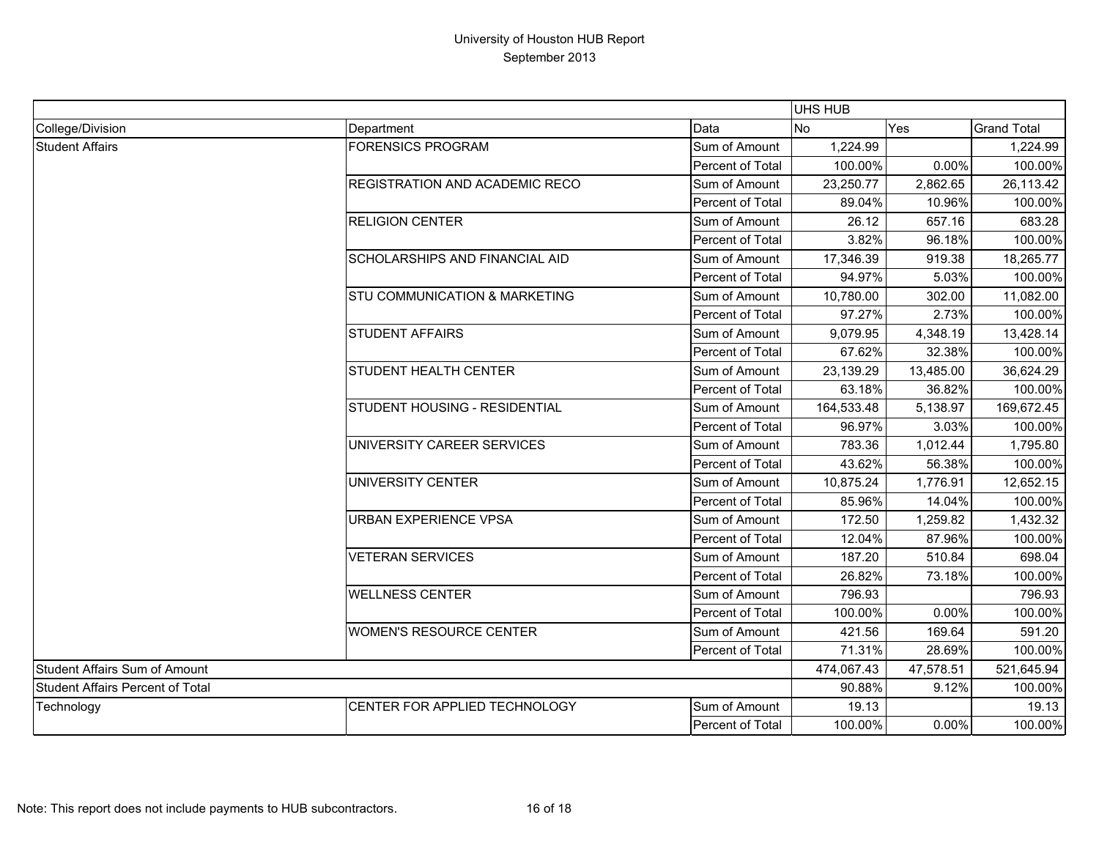|                                         |                                |                  | UHS HUB    |           |                    |  |
|-----------------------------------------|--------------------------------|------------------|------------|-----------|--------------------|--|
| College/Division                        | Department                     | Data             | No         | Yes       | <b>Grand Total</b> |  |
| <b>Student Affairs</b>                  | <b>FORENSICS PROGRAM</b>       | Sum of Amount    | 1,224.99   |           | 1,224.99           |  |
|                                         |                                | Percent of Total | 100.00%    | 0.00%     | 100.00%            |  |
|                                         | REGISTRATION AND ACADEMIC RECO | Sum of Amount    | 23,250.77  | 2,862.65  | 26,113.42          |  |
|                                         |                                | Percent of Total | 89.04%     | 10.96%    | 100.00%            |  |
|                                         | <b>RELIGION CENTER</b>         | Sum of Amount    | 26.12      | 657.16    | 683.28             |  |
|                                         |                                | Percent of Total | 3.82%      | 96.18%    | 100.00%            |  |
|                                         | SCHOLARSHIPS AND FINANCIAL AID | Sum of Amount    | 17,346.39  | 919.38    | 18,265.77          |  |
|                                         |                                | Percent of Total | 94.97%     | 5.03%     | 100.00%            |  |
|                                         | STU COMMUNICATION & MARKETING  | Sum of Amount    | 10,780.00  | 302.00    | 11,082.00          |  |
|                                         |                                | Percent of Total | 97.27%     | 2.73%     | 100.00%            |  |
|                                         | <b>STUDENT AFFAIRS</b>         | Sum of Amount    | 9,079.95   | 4,348.19  | 13,428.14          |  |
|                                         |                                | Percent of Total | 67.62%     | 32.38%    | 100.00%            |  |
|                                         | <b>STUDENT HEALTH CENTER</b>   | Sum of Amount    | 23,139.29  | 13,485.00 | 36,624.29          |  |
|                                         |                                | Percent of Total | 63.18%     | 36.82%    | 100.00%            |  |
|                                         | STUDENT HOUSING - RESIDENTIAL  | Sum of Amount    | 164,533.48 | 5,138.97  | 169,672.45         |  |
|                                         |                                | Percent of Total | 96.97%     | 3.03%     | 100.00%            |  |
|                                         | UNIVERSITY CAREER SERVICES     | Sum of Amount    | 783.36     | 1,012.44  | 1,795.80           |  |
|                                         |                                | Percent of Total | 43.62%     | 56.38%    | 100.00%            |  |
|                                         | UNIVERSITY CENTER              | Sum of Amount    | 10,875.24  | 1,776.91  | 12,652.15          |  |
|                                         |                                | Percent of Total | 85.96%     | 14.04%    | 100.00%            |  |
|                                         | <b>URBAN EXPERIENCE VPSA</b>   | Sum of Amount    | 172.50     | 1,259.82  | 1,432.32           |  |
|                                         |                                | Percent of Total | 12.04%     | 87.96%    | 100.00%            |  |
|                                         | <b>VETERAN SERVICES</b>        | Sum of Amount    | 187.20     | 510.84    | 698.04             |  |
|                                         |                                | Percent of Total | 26.82%     | 73.18%    | 100.00%            |  |
|                                         | <b>WELLNESS CENTER</b>         | Sum of Amount    | 796.93     |           | 796.93             |  |
|                                         |                                | Percent of Total | 100.00%    | 0.00%     | 100.00%            |  |
|                                         | <b>WOMEN'S RESOURCE CENTER</b> | Sum of Amount    | 421.56     | 169.64    | 591.20             |  |
|                                         |                                | Percent of Total | 71.31%     | 28.69%    | 100.00%            |  |
| Student Affairs Sum of Amount           |                                |                  | 474,067.43 | 47,578.51 | 521,645.94         |  |
| <b>Student Affairs Percent of Total</b> |                                | 90.88%           | 9.12%      | 100.00%   |                    |  |
| Technology                              | CENTER FOR APPLIED TECHNOLOGY  | Sum of Amount    | 19.13      |           | 19.13              |  |
|                                         |                                | Percent of Total | 100.00%    | 0.00%     | 100.00%            |  |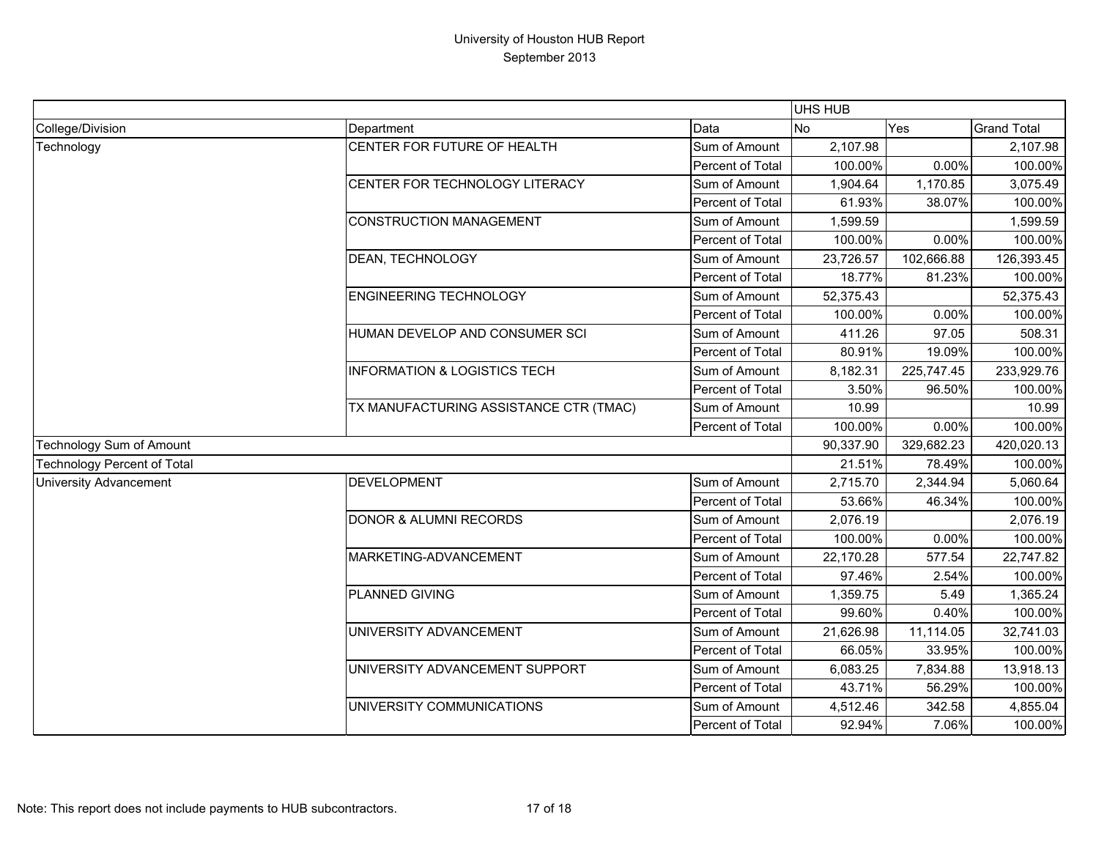|                                    |                                         |                  | UHS HUB   |            |                    |
|------------------------------------|-----------------------------------------|------------------|-----------|------------|--------------------|
| College/Division                   | Department                              | Data             | No        | Yes        | <b>Grand Total</b> |
| Technology                         | CENTER FOR FUTURE OF HEALTH             | Sum of Amount    | 2,107.98  |            | 2,107.98           |
|                                    |                                         | Percent of Total | 100.00%   | 0.00%      | 100.00%            |
|                                    | CENTER FOR TECHNOLOGY LITERACY          | Sum of Amount    | 1,904.64  | 1,170.85   | 3,075.49           |
|                                    |                                         | Percent of Total | 61.93%    | 38.07%     | 100.00%            |
|                                    | <b>CONSTRUCTION MANAGEMENT</b>          | Sum of Amount    | 1,599.59  |            | 1,599.59           |
|                                    |                                         | Percent of Total | 100.00%   | 0.00%      | 100.00%            |
|                                    | DEAN, TECHNOLOGY                        | Sum of Amount    | 23,726.57 | 102,666.88 | 126,393.45         |
|                                    |                                         | Percent of Total | 18.77%    | 81.23%     | 100.00%            |
|                                    | <b>ENGINEERING TECHNOLOGY</b>           | Sum of Amount    | 52,375.43 |            | 52,375.43          |
|                                    |                                         | Percent of Total | 100.00%   | 0.00%      | 100.00%            |
|                                    | HUMAN DEVELOP AND CONSUMER SCI          | Sum of Amount    | 411.26    | 97.05      | 508.31             |
|                                    |                                         | Percent of Total | 80.91%    | 19.09%     | 100.00%            |
|                                    | <b>INFORMATION &amp; LOGISTICS TECH</b> | Sum of Amount    | 8,182.31  | 225,747.45 | 233,929.76         |
|                                    |                                         | Percent of Total | 3.50%     | 96.50%     | 100.00%            |
|                                    | TX MANUFACTURING ASSISTANCE CTR (TMAC)  | Sum of Amount    | 10.99     |            | 10.99              |
|                                    |                                         | Percent of Total | 100.00%   | 0.00%      | 100.00%            |
| Technology Sum of Amount           |                                         |                  | 90,337.90 | 329,682.23 | 420,020.13         |
| <b>Technology Percent of Total</b> |                                         |                  | 21.51%    | 78.49%     | 100.00%            |
| <b>University Advancement</b>      | <b>DEVELOPMENT</b>                      | Sum of Amount    | 2,715.70  | 2,344.94   | 5,060.64           |
|                                    |                                         | Percent of Total | 53.66%    | 46.34%     | 100.00%            |
|                                    | <b>DONOR &amp; ALUMNI RECORDS</b>       | Sum of Amount    | 2,076.19  |            | 2,076.19           |
|                                    |                                         | Percent of Total | 100.00%   | 0.00%      | 100.00%            |
|                                    | MARKETING-ADVANCEMENT                   | Sum of Amount    | 22,170.28 | 577.54     | 22,747.82          |
|                                    |                                         | Percent of Total | 97.46%    | 2.54%      | 100.00%            |
|                                    | PLANNED GIVING                          | Sum of Amount    | 1,359.75  | 5.49       | 1,365.24           |
|                                    |                                         | Percent of Total | 99.60%    | 0.40%      | 100.00%            |
|                                    | UNIVERSITY ADVANCEMENT                  | Sum of Amount    | 21,626.98 | 11,114.05  | 32,741.03          |
|                                    |                                         | Percent of Total | 66.05%    | 33.95%     | 100.00%            |
|                                    | UNIVERSITY ADVANCEMENT SUPPORT          | Sum of Amount    | 6,083.25  | 7,834.88   | 13,918.13          |
|                                    |                                         | Percent of Total | 43.71%    | 56.29%     | 100.00%            |
|                                    | UNIVERSITY COMMUNICATIONS               | Sum of Amount    | 4,512.46  | 342.58     | 4,855.04           |
|                                    |                                         | Percent of Total | 92.94%    | 7.06%      | 100.00%            |